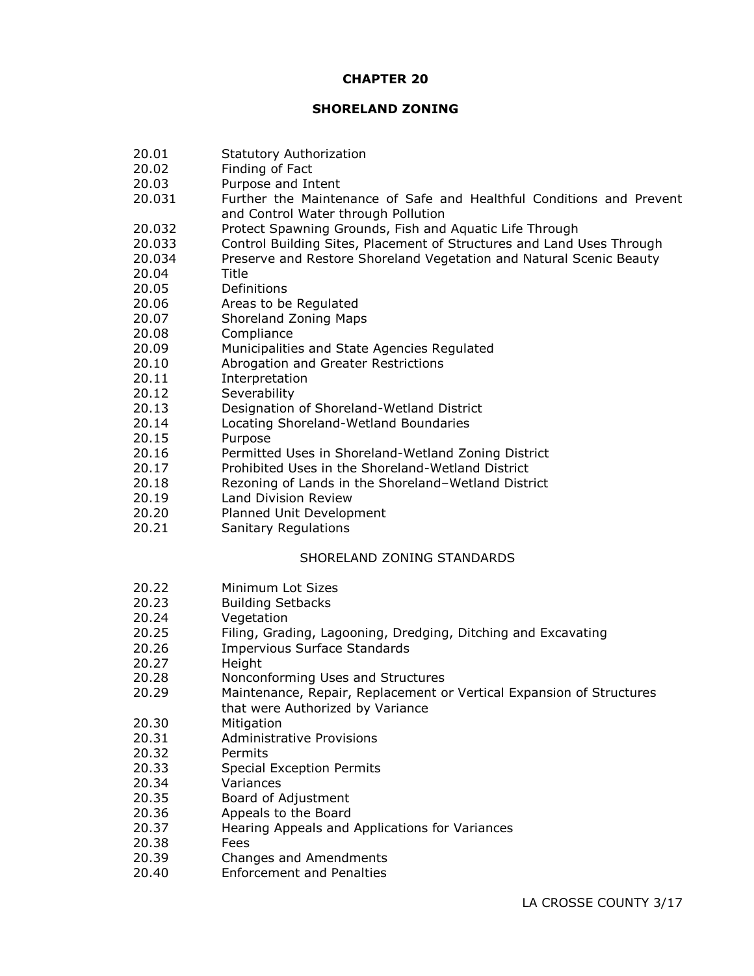#### **CHAPTER 20**

#### **SHORELAND ZONING**

- 20.01 Statutory Authorization
- 20.02 Finding of Fact
- 20.03 Purpose and Intent
- 20.031 Further the Maintenance of Safe and Healthful Conditions and Prevent and Control Water through Pollution
- 20.032 Protect Spawning Grounds, Fish and Aquatic Life Through
- 20.033 Control Building Sites, Placement of Structures and Land Uses Through
- 20.034 Preserve and Restore Shoreland Vegetation and Natural Scenic Beauty
- 20.04 Title
- 20.05 Definitions
- 20.06 Areas to be Regulated
- 20.07 Shoreland Zoning Maps
- 20.08 Compliance
- 20.09 Municipalities and State Agencies Regulated
- 20.10 Abrogation and Greater Restrictions
- 20.11 Interpretation
- 20.12 Severability
- 20.13 Designation of Shoreland-Wetland District
- 20.14 Locating Shoreland-Wetland Boundaries
- 20.15 Purpose
- 20.16 Permitted Uses in Shoreland-Wetland Zoning District
- 20.17 Prohibited Uses in the Shoreland-Wetland District
- 20.18 Rezoning of Lands in the Shoreland–Wetland District
- 20.19 Land Division Review
- 20.20 Planned Unit Development
- 20.21 Sanitary Regulations

# SHORELAND ZONING STANDARDS

- 20.22 Minimum Lot Sizes
- 20.23 Building Setbacks
- 20.24 Vegetation
- 20.25 Filing, Grading, Lagooning, Dredging, Ditching and Excavating
- 20.26 Impervious Surface Standards
- 20.27 Height
- 20.28 Nonconforming Uses and Structures
- 20.29 Maintenance, Repair, Replacement or Vertical Expansion of Structures that were Authorized by Variance
- 20.30 Mitigation
- 20.31 Administrative Provisions
- 20.32 Permits
- 20.33 Special Exception Permits
- 20.34 Variances
- 20.35 Board of Adjustment
- 20.36 Appeals to the Board
- 20.37 Hearing Appeals and Applications for Variances
- 20.38 Fees
- 20.39 Changes and Amendments
- 20.40 Enforcement and Penalties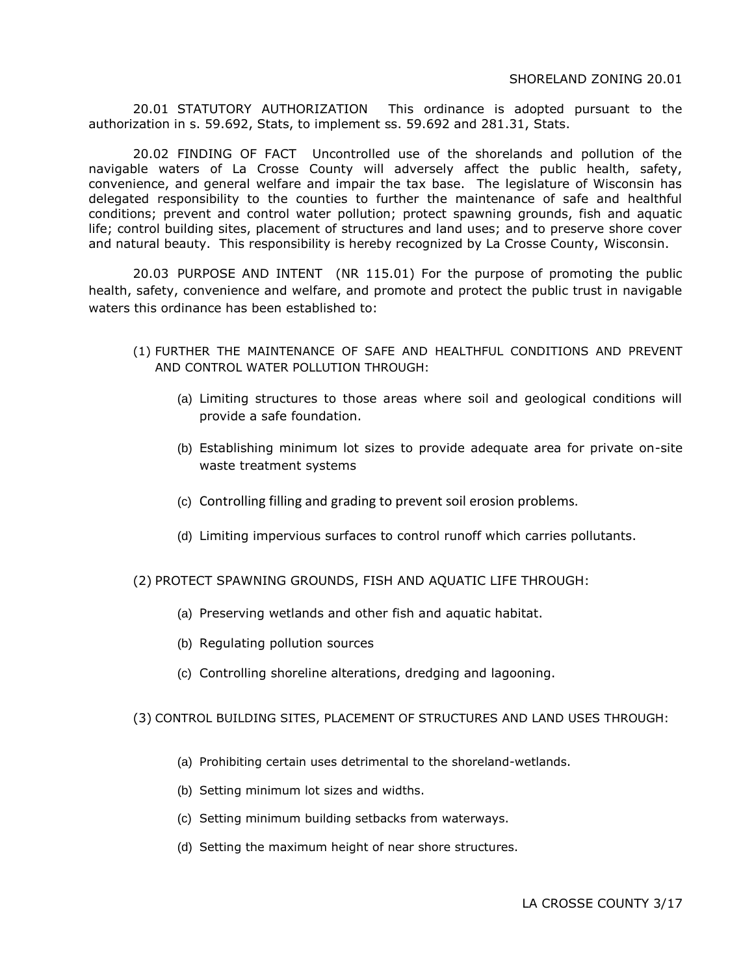20.01 STATUTORY AUTHORIZATION This ordinance is adopted pursuant to the authorization in s. 59.692, Stats, to implement ss. 59.692 and 281.31, Stats.

20.02 FINDING OF FACT Uncontrolled use of the shorelands and pollution of the navigable waters of La Crosse County will adversely affect the public health, safety, convenience, and general welfare and impair the tax base. The legislature of Wisconsin has delegated responsibility to the counties to further the maintenance of safe and healthful conditions; prevent and control water pollution; protect spawning grounds, fish and aquatic life; control building sites, placement of structures and land uses; and to preserve shore cover and natural beauty. This responsibility is hereby recognized by La Crosse County, Wisconsin.

20.03 PURPOSE AND INTENT (NR 115.01) For the purpose of promoting the public health, safety, convenience and welfare, and promote and protect the public trust in navigable waters this ordinance has been established to:

- (1) FURTHER THE MAINTENANCE OF SAFE AND HEALTHFUL CONDITIONS AND PREVENT AND CONTROL WATER POLLUTION THROUGH:
	- (a) Limiting structures to those areas where soil and geological conditions will provide a safe foundation.
	- (b) Establishing minimum lot sizes to provide adequate area for private on-site waste treatment systems
	- (c) Controlling filling and grading to prevent soil erosion problems.
	- (d) Limiting impervious surfaces to control runoff which carries pollutants.

(2) PROTECT SPAWNING GROUNDS, FISH AND AQUATIC LIFE THROUGH:

- (a) Preserving wetlands and other fish and aquatic habitat.
- (b) Regulating pollution sources
- (c) Controlling shoreline alterations, dredging and lagooning.

#### (3) CONTROL BUILDING SITES, PLACEMENT OF STRUCTURES AND LAND USES THROUGH:

- (a) Prohibiting certain uses detrimental to the shoreland-wetlands.
- (b) Setting minimum lot sizes and widths.
- (c) Setting minimum building setbacks from waterways.
- (d) Setting the maximum height of near shore structures.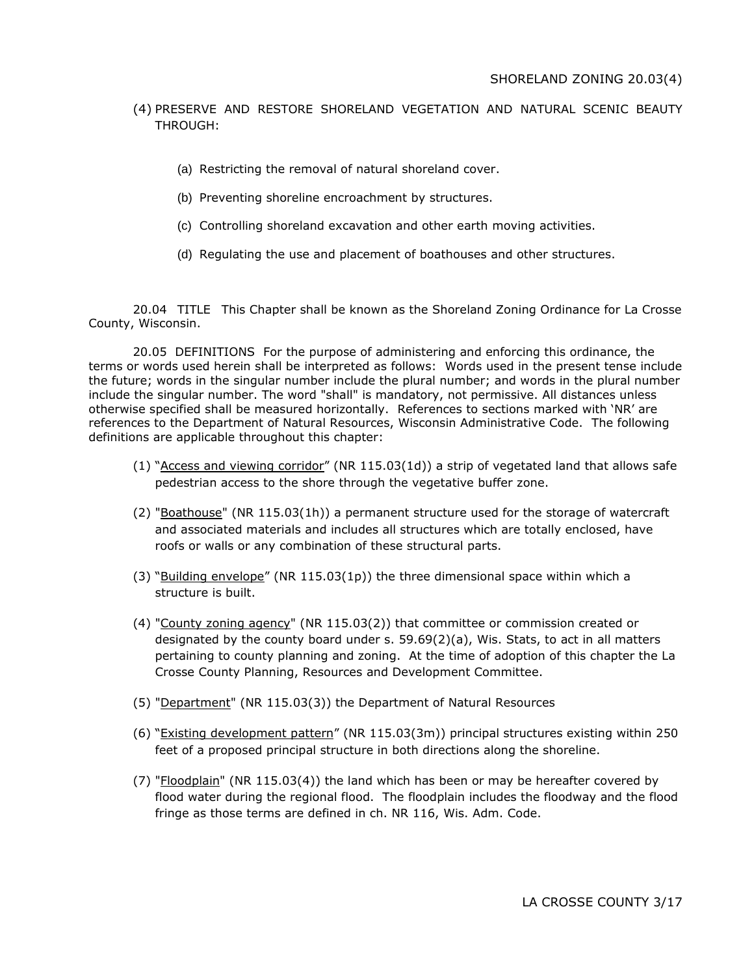# (4) PRESERVE AND RESTORE SHORELAND VEGETATION AND NATURAL SCENIC BEAUTY THROUGH:

- (a) Restricting the removal of natural shoreland cover.
- (b) Preventing shoreline encroachment by structures.
- (c) Controlling shoreland excavation and other earth moving activities.
- (d) Regulating the use and placement of boathouses and other structures.

20.04 TITLE This Chapter shall be known as the Shoreland Zoning Ordinance for La Crosse County, Wisconsin.

20.05 DEFINITIONS For the purpose of administering and enforcing this ordinance, the terms or words used herein shall be interpreted as follows: Words used in the present tense include the future; words in the singular number include the plural number; and words in the plural number include the singular number. The word "shall" is mandatory, not permissive. All distances unless otherwise specified shall be measured horizontally. References to sections marked with 'NR' are references to the Department of Natural Resources, Wisconsin Administrative Code. The following definitions are applicable throughout this chapter:

- (1) "Access and viewing corridor" (NR 115.03(1d)) a strip of vegetated land that allows safe pedestrian access to the shore through the vegetative buffer zone.
- (2) "Boathouse" (NR 115.03(1h)) a permanent structure used for the storage of watercraft and associated materials and includes all structures which are totally enclosed, have roofs or walls or any combination of these structural parts.
- (3) "Building envelope" (NR 115.03(1p)) the three dimensional space within which a structure is built.
- (4) "County zoning agency" (NR 115.03(2)) that committee or commission created or designated by the county board under s.  $59.69(2)(a)$ , Wis. Stats, to act in all matters pertaining to county planning and zoning. At the time of adoption of this chapter the La Crosse County Planning, Resources and Development Committee.
- (5) "Department" (NR 115.03(3)) the Department of Natural Resources
- (6) "Existing development pattern" (NR 115.03(3m)) principal structures existing within 250 feet of a proposed principal structure in both directions along the shoreline.
- (7) "Floodplain" (NR 115.03(4)) the land which has been or may be hereafter covered by flood water during the regional flood. The floodplain includes the floodway and the flood fringe as those terms are defined in ch. NR 116, Wis. Adm. Code.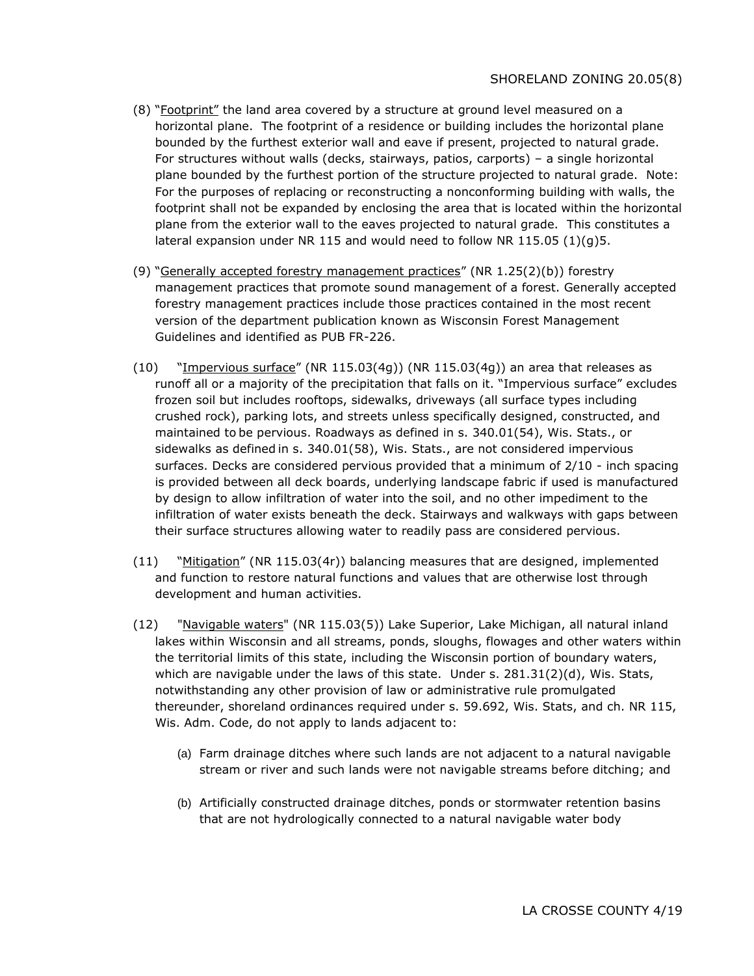- (8) "Footprint" the land area covered by a structure at ground level measured on a horizontal plane. The footprint of a residence or building includes the horizontal plane bounded by the furthest exterior wall and eave if present, projected to natural grade. For structures without walls (decks, stairways, patios, carports) – a single horizontal plane bounded by the furthest portion of the structure projected to natural grade. Note: For the purposes of replacing or reconstructing a nonconforming building with walls, the footprint shall not be expanded by enclosing the area that is located within the horizontal plane from the exterior wall to the eaves projected to natural grade. This constitutes a lateral expansion under NR 115 and would need to follow NR 115.05  $(1)(q)$ 5.
- (9) "Generally accepted forestry management practices" (NR 1.25(2)(b)) forestry management practices that promote sound management of a forest. Generally accepted forestry management practices include those practices contained in the most recent version of the department publication known as Wisconsin Forest Management Guidelines and identified as PUB FR-226.
- (10) "Impervious surface" (NR 115.03(4g)) (NR 115.03(4g)) an area that releases as runoff all or a majority of the precipitation that falls on it. "Impervious surface" excludes frozen soil but includes rooftops, sidewalks, driveways (all surface types including crushed rock), parking lots, and streets unless specifically designed, constructed, and maintained to be pervious. Roadways as defined in s. 340.01(54), Wis. Stats., or sidewalks as defined in s. 340.01(58), Wis. Stats., are not considered impervious surfaces. Decks are considered pervious provided that a minimum of 2/10 - inch spacing is provided between all deck boards, underlying landscape fabric if used is manufactured by design to allow infiltration of water into the soil, and no other impediment to the infiltration of water exists beneath the deck. Stairways and walkways with gaps between their surface structures allowing water to readily pass are considered pervious.
- (11) "Mitigation" (NR 115.03(4r)) balancing measures that are designed, implemented and function to restore natural functions and values that are otherwise lost through development and human activities.
- (12) "Navigable waters" (NR 115.03(5)) Lake Superior, Lake Michigan, all natural inland lakes within Wisconsin and all streams, ponds, sloughs, flowages and other waters within the territorial limits of this state, including the Wisconsin portion of boundary waters, which are navigable under the laws of this state. Under s. 281.31(2)(d), Wis. Stats, notwithstanding any other provision of law or administrative rule promulgated thereunder, shoreland ordinances required under s. 59.692, Wis. Stats, and ch. NR 115, Wis. Adm. Code, do not apply to lands adjacent to:
	- (a) Farm drainage ditches where such lands are not adjacent to a natural navigable stream or river and such lands were not navigable streams before ditching; and
	- (b) Artificially constructed drainage ditches, ponds or stormwater retention basins that are not hydrologically connected to a natural navigable water body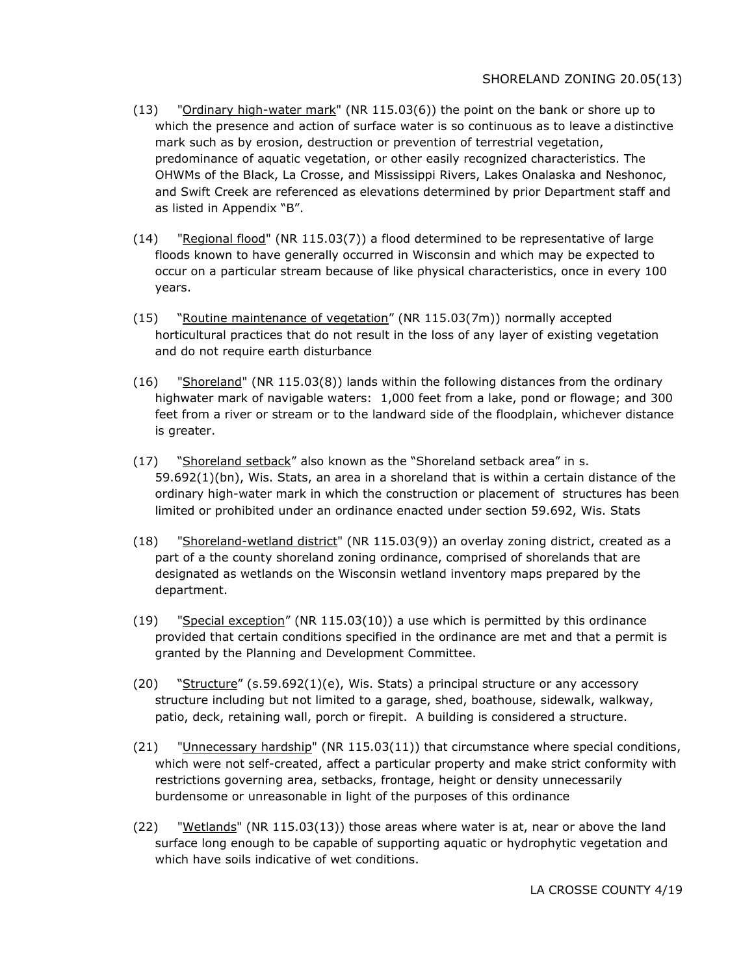- $(13)$  "Ordinary high-water mark" (NR 115.03(6)) the point on the bank or shore up to which the presence and action of surface water is so continuous as to leave a distinctive mark such as by erosion, destruction or prevention of terrestrial vegetation, predominance of aquatic vegetation, or other easily recognized characteristics. The OHWMs of the Black, La Crosse, and Mississippi Rivers, Lakes Onalaska and Neshonoc, and Swift Creek are referenced as elevations determined by prior Department staff and as listed in Appendix "B".
- (14) "Regional flood" (NR 115.03(7)) a flood determined to be representative of large floods known to have generally occurred in Wisconsin and which may be expected to occur on a particular stream because of like physical characteristics, once in every 100 years.
- (15) "Routine maintenance of vegetation" (NR 115.03(7m)) normally accepted horticultural practices that do not result in the loss of any layer of existing vegetation and do not require earth disturbance
- (16) "Shoreland" (NR 115.03(8)) lands within the following distances from the ordinary highwater mark of navigable waters: 1,000 feet from a lake, pond or flowage; and 300 feet from a river or stream or to the landward side of the floodplain, whichever distance is greater.
- (17) "Shoreland setback" also known as the "Shoreland setback area" in s. 59.692(1)(bn), Wis. Stats, an area in a shoreland that is within a certain distance of the ordinary high-water mark in which the construction or placement of structures has been limited or prohibited under an ordinance enacted under section 59.692, Wis. Stats
- (18) "Shoreland-wetland district" (NR 115.03(9)) an overlay zoning district, created as a part of a the county shoreland zoning ordinance, comprised of shorelands that are designated as wetlands on the Wisconsin wetland inventory maps prepared by the department.
- (19) "Special exception" (NR 115.03(10)) a use which is permitted by this ordinance provided that certain conditions specified in the ordinance are met and that a permit is granted by the Planning and Development Committee.
- $(20)$  "Structure" (s.59.692(1)(e), Wis. Stats) a principal structure or any accessory structure including but not limited to a garage, shed, boathouse, sidewalk, walkway, patio, deck, retaining wall, porch or firepit. A building is considered a structure.
- (21) "Unnecessary hardship" (NR 115.03(11)) that circumstance where special conditions, which were not self-created, affect a particular property and make strict conformity with restrictions governing area, setbacks, frontage, height or density unnecessarily burdensome or unreasonable in light of the purposes of this ordinance
- (22) "Wetlands" (NR 115.03(13)) those areas where water is at, near or above the land surface long enough to be capable of supporting aquatic or hydrophytic vegetation and which have soils indicative of wet conditions.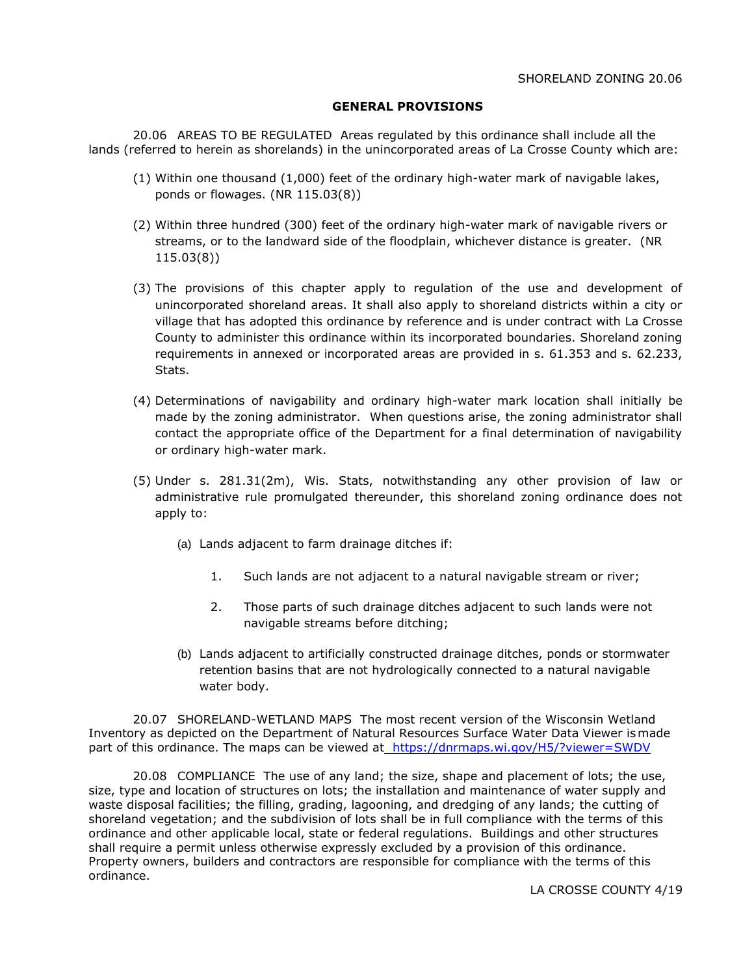#### **GENERAL PROVISIONS**

20.06 AREAS TO BE REGULATED Areas regulated by this ordinance shall include all the lands (referred to herein as shorelands) in the unincorporated areas of La Crosse County which are:

- (1) Within one thousand (1,000) feet of the ordinary high-water mark of navigable lakes, ponds or flowages. (NR 115.03(8))
- (2) Within three hundred (300) feet of the ordinary high-water mark of navigable rivers or streams, or to the landward side of the floodplain, whichever distance is greater. (NR 115.03(8))
- (3) The provisions of this chapter apply to regulation of the use and development of unincorporated shoreland areas. It shall also apply to shoreland districts within a city or village that has adopted this ordinance by reference and is under contract with La Crosse County to administer this ordinance within its incorporated boundaries. Shoreland zoning requirements in annexed or incorporated areas are provided in s. 61.353 and s. 62.233, Stats.
- (4) Determinations of navigability and ordinary high-water mark location shall initially be made by the zoning administrator. When questions arise, the zoning administrator shall contact the appropriate office of the Department for a final determination of navigability or ordinary high-water mark.
- (5) Under s. 281.31(2m), Wis. Stats, notwithstanding any other provision of law or administrative rule promulgated thereunder, this shoreland zoning ordinance does not apply to:
	- (a) Lands adjacent to farm drainage ditches if:
		- 1. Such lands are not adjacent to a natural navigable stream or river;
		- 2. Those parts of such drainage ditches adjacent to such lands were not navigable streams before ditching;
	- (b) Lands adjacent to artificially constructed drainage ditches, ponds or stormwater retention basins that are not hydrologically connected to a natural navigable water body.

20.07 SHORELAND-WETLAND MAPS The most recent version of the Wisconsin Wetland Inventory as depicted on the Department of Natural Resources Surface Water Data Viewer ismade part of this ordinance. The maps can be viewed at <https://dnrmaps.wi.gov/H5/?viewer=SWDV>

20.08 COMPLIANCE The use of any land; the size, shape and placement of lots; the use, size, type and location of structures on lots; the installation and maintenance of water supply and waste disposal facilities; the filling, grading, lagooning, and dredging of any lands; the cutting of shoreland vegetation; and the subdivision of lots shall be in full compliance with the terms of this ordinance and other applicable local, state or federal regulations. Buildings and other structures shall require a permit unless otherwise expressly excluded by a provision of this ordinance. Property owners, builders and contractors are responsible for compliance with the terms of this ordinance.

LA CROSSE COUNTY 4/19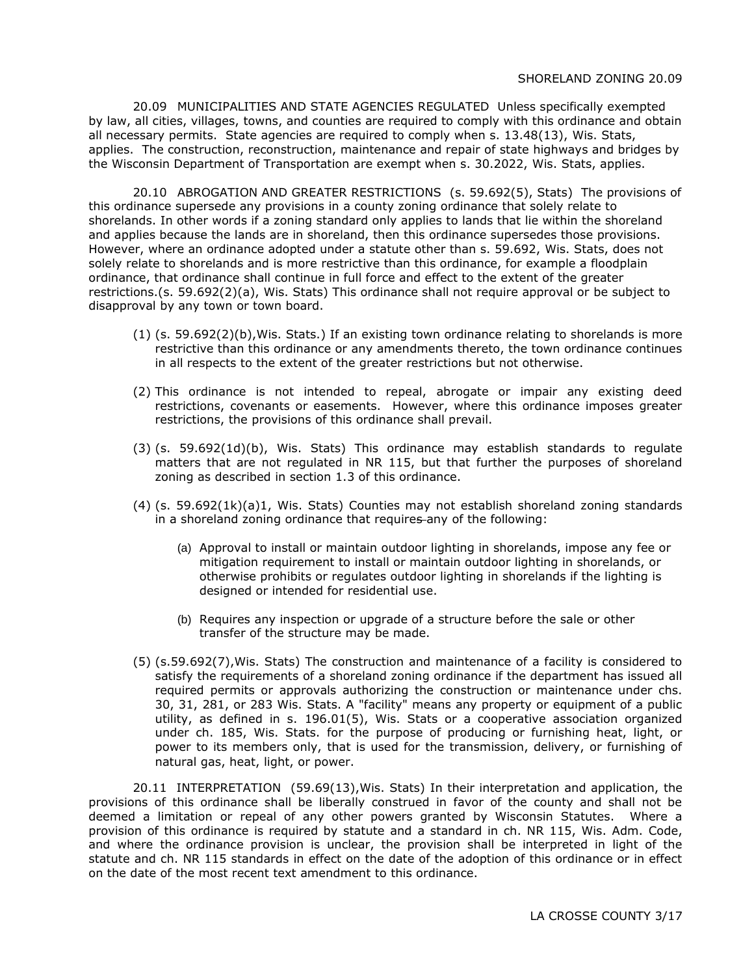20.09 MUNICIPALITIES AND STATE AGENCIES REGULATED Unless specifically exempted by law, all cities, villages, towns, and counties are required to comply with this ordinance and obtain all necessary permits. State agencies are required to comply when s. 13.48(13), Wis. Stats, applies. The construction, reconstruction, maintenance and repair of state highways and bridges by the Wisconsin Department of Transportation are exempt when s. 30.2022, Wis. Stats, applies.

20.10 ABROGATION AND GREATER RESTRICTIONS (s. 59.692(5), Stats) The provisions of this ordinance supersede any provisions in a county zoning ordinance that solely relate to shorelands. In other words if a zoning standard only applies to lands that lie within the shoreland and applies because the lands are in shoreland, then this ordinance supersedes those provisions. However, where an ordinance adopted under a statute other than s. 59.692, Wis. Stats, does not solely relate to shorelands and is more restrictive than this ordinance, for example a floodplain ordinance, that ordinance shall continue in full force and effect to the extent of the greater restrictions.(s. 59.692(2)(a), Wis. Stats) This ordinance shall not require approval or be subject to disapproval by any town or town board.

- (1) (s. 59.692(2)(b),Wis. Stats.) If an existing town ordinance relating to shorelands is more restrictive than this ordinance or any amendments thereto, the town ordinance continues in all respects to the extent of the greater restrictions but not otherwise.
- (2) This ordinance is not intended to repeal, abrogate or impair any existing deed restrictions, covenants or easements. However, where this ordinance imposes greater restrictions, the provisions of this ordinance shall prevail.
- (3) (s. 59.692(1d)(b), Wis. Stats) This ordinance may establish standards to regulate matters that are not regulated in NR 115, but that further the purposes of shoreland zoning as described in section 1.3 of this ordinance.
- (4) (s. 59.692(1k)(a)1, Wis. Stats) Counties may not establish shoreland zoning standards in a shoreland zoning ordinance that requires any of the following:
	- (a) Approval to install or maintain outdoor lighting in shorelands, impose any fee or mitigation requirement to install or maintain outdoor lighting in shorelands, or otherwise prohibits or regulates outdoor lighting in shorelands if the lighting is designed or intended for residential use.
	- (b) Requires any inspection or upgrade of a structure before the sale or other transfer of the structure may be made.
- (5) (s.59.692(7),Wis. Stats) The construction and maintenance of a facility is considered to satisfy the requirements of a shoreland zoning ordinance if the department has issued all required permits or approvals authorizing the construction or maintenance under chs. 30, 31, 281, or 283 Wis. Stats. A "facility" means any property or equipment of a public utility, as defined in s. 196.01(5), Wis. Stats or a cooperative association organized under ch. 185, Wis. Stats. for the purpose of producing or furnishing heat, light, or power to its members only, that is used for the transmission, delivery, or furnishing of natural gas, heat, light, or power.

20.11 INTERPRETATION (59.69(13),Wis. Stats) In their interpretation and application, the provisions of this ordinance shall be liberally construed in favor of the county and shall not be deemed a limitation or repeal of any other powers granted by Wisconsin Statutes. Where a provision of this ordinance is required by statute and a standard in ch. NR 115, Wis. Adm. Code, and where the ordinance provision is unclear, the provision shall be interpreted in light of the statute and ch. NR 115 standards in effect on the date of the adoption of this ordinance or in effect on the date of the most recent text amendment to this ordinance.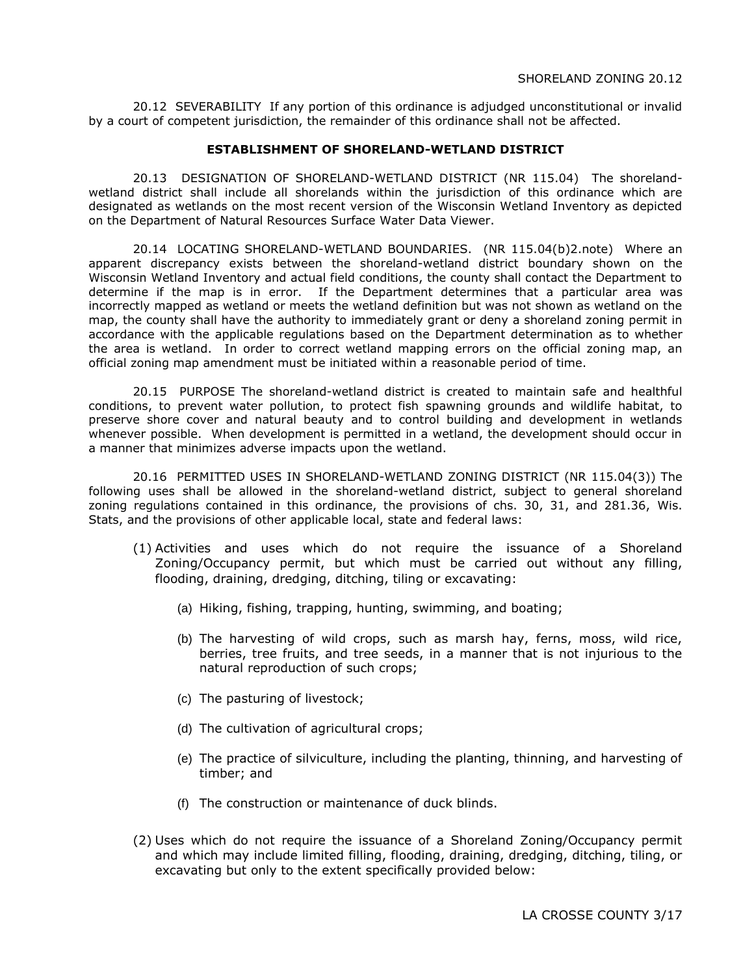20.12 SEVERABILITY If any portion of this ordinance is adjudged unconstitutional or invalid by a court of competent jurisdiction, the remainder of this ordinance shall not be affected.

#### **ESTABLISHMENT OF SHORELAND-WETLAND DISTRICT**

20.13 DESIGNATION OF SHORELAND-WETLAND DISTRICT (NR 115.04) The shorelandwetland district shall include all shorelands within the jurisdiction of this ordinance which are designated as wetlands on the most recent version of the Wisconsin Wetland Inventory as depicted on the Department of Natural Resources Surface Water Data Viewer.

20.14 LOCATING SHORELAND-WETLAND BOUNDARIES. (NR 115.04(b)2.note) Where an apparent discrepancy exists between the shoreland-wetland district boundary shown on the Wisconsin Wetland Inventory and actual field conditions, the county shall contact the Department to determine if the map is in error. If the Department determines that a particular area was incorrectly mapped as wetland or meets the wetland definition but was not shown as wetland on the map, the county shall have the authority to immediately grant or deny a shoreland zoning permit in accordance with the applicable regulations based on the Department determination as to whether the area is wetland. In order to correct wetland mapping errors on the official zoning map, an official zoning map amendment must be initiated within a reasonable period of time.

20.15 PURPOSE The shoreland-wetland district is created to maintain safe and healthful conditions, to prevent water pollution, to protect fish spawning grounds and wildlife habitat, to preserve shore cover and natural beauty and to control building and development in wetlands whenever possible. When development is permitted in a wetland, the development should occur in a manner that minimizes adverse impacts upon the wetland.

20.16 PERMITTED USES IN SHORELAND-WETLAND ZONING DISTRICT (NR 115.04(3)) The following uses shall be allowed in the shoreland-wetland district, subject to general shoreland zoning regulations contained in this ordinance, the provisions of chs. 30, 31, and 281.36, Wis. Stats, and the provisions of other applicable local, state and federal laws:

- (1) Activities and uses which do not require the issuance of a Shoreland Zoning/Occupancy permit, but which must be carried out without any filling, flooding, draining, dredging, ditching, tiling or excavating:
	- (a) Hiking, fishing, trapping, hunting, swimming, and boating;
	- (b) The harvesting of wild crops, such as marsh hay, ferns, moss, wild rice, berries, tree fruits, and tree seeds, in a manner that is not injurious to the natural reproduction of such crops;
	- (c) The pasturing of livestock;
	- (d) The cultivation of agricultural crops;
	- (e) The practice of silviculture, including the planting, thinning, and harvesting of timber; and
	- (f) The construction or maintenance of duck blinds.
- (2) Uses which do not require the issuance of a Shoreland Zoning/Occupancy permit and which may include limited filling, flooding, draining, dredging, ditching, tiling, or excavating but only to the extent specifically provided below: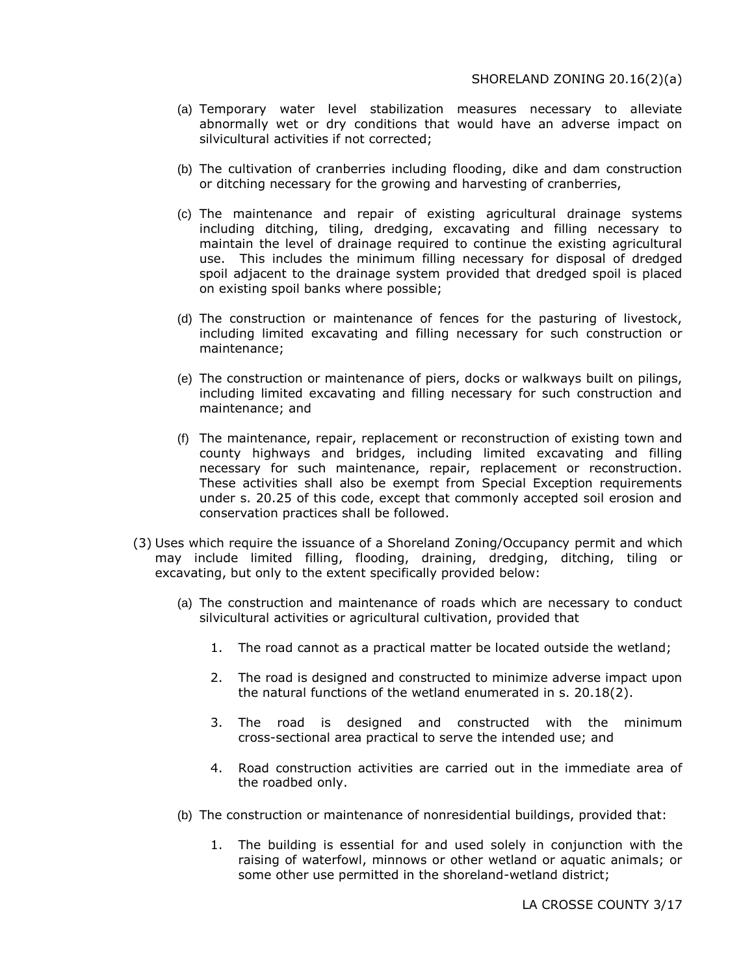- (a) Temporary water level stabilization measures necessary to alleviate abnormally wet or dry conditions that would have an adverse impact on silvicultural activities if not corrected;
- (b) The cultivation of cranberries including flooding, dike and dam construction or ditching necessary for the growing and harvesting of cranberries,
- (c) The maintenance and repair of existing agricultural drainage systems including ditching, tiling, dredging, excavating and filling necessary to maintain the level of drainage required to continue the existing agricultural use. This includes the minimum filling necessary for disposal of dredged spoil adjacent to the drainage system provided that dredged spoil is placed on existing spoil banks where possible;
- (d) The construction or maintenance of fences for the pasturing of livestock, including limited excavating and filling necessary for such construction or maintenance;
- (e) The construction or maintenance of piers, docks or walkways built on pilings, including limited excavating and filling necessary for such construction and maintenance; and
- (f) The maintenance, repair, replacement or reconstruction of existing town and county highways and bridges, including limited excavating and filling necessary for such maintenance, repair, replacement or reconstruction. These activities shall also be exempt from Special Exception requirements under s. 20.25 of this code, except that commonly accepted soil erosion and conservation practices shall be followed.
- (3) Uses which require the issuance of a Shoreland Zoning/Occupancy permit and which may include limited filling, flooding, draining, dredging, ditching, tiling or excavating, but only to the extent specifically provided below:
	- (a) The construction and maintenance of roads which are necessary to conduct silvicultural activities or agricultural cultivation, provided that
		- 1. The road cannot as a practical matter be located outside the wetland;
		- 2. The road is designed and constructed to minimize adverse impact upon the natural functions of the wetland enumerated in s. 20.18(2).
		- 3. The road is designed and constructed with the minimum cross-sectional area practical to serve the intended use; and
		- 4. Road construction activities are carried out in the immediate area of the roadbed only.
	- (b) The construction or maintenance of nonresidential buildings, provided that:
		- 1. The building is essential for and used solely in conjunction with the raising of waterfowl, minnows or other wetland or aquatic animals; or some other use permitted in the shoreland-wetland district;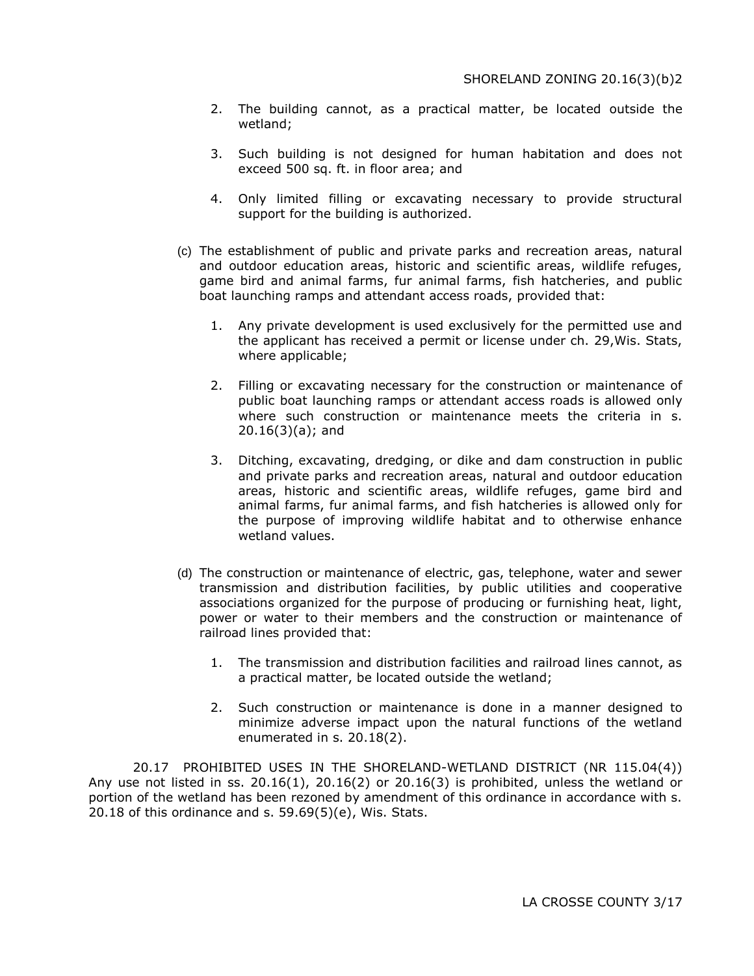- 2. The building cannot, as a practical matter, be located outside the wetland;
- 3. Such building is not designed for human habitation and does not exceed 500 sq. ft. in floor area; and
- 4. Only limited filling or excavating necessary to provide structural support for the building is authorized.
- (c) The establishment of public and private parks and recreation areas, natural and outdoor education areas, historic and scientific areas, wildlife refuges, game bird and animal farms, fur animal farms, fish hatcheries, and public boat launching ramps and attendant access roads, provided that:
	- 1. Any private development is used exclusively for the permitted use and the applicant has received a permit or license under ch. 29,Wis. Stats, where applicable;
	- 2. Filling or excavating necessary for the construction or maintenance of public boat launching ramps or attendant access roads is allowed only where such construction or maintenance meets the criteria in s. 20.16(3)(a); and
	- 3. Ditching, excavating, dredging, or dike and dam construction in public and private parks and recreation areas, natural and outdoor education areas, historic and scientific areas, wildlife refuges, game bird and animal farms, fur animal farms, and fish hatcheries is allowed only for the purpose of improving wildlife habitat and to otherwise enhance wetland values.
- (d) The construction or maintenance of electric, gas, telephone, water and sewer transmission and distribution facilities, by public utilities and cooperative associations organized for the purpose of producing or furnishing heat, light, power or water to their members and the construction or maintenance of railroad lines provided that:
	- 1. The transmission and distribution facilities and railroad lines cannot, as a practical matter, be located outside the wetland;
	- 2. Such construction or maintenance is done in a manner designed to minimize adverse impact upon the natural functions of the wetland enumerated in s. 20.18(2).

20.17 PROHIBITED USES IN THE SHORELAND-WETLAND DISTRICT (NR 115.04(4)) Any use not listed in ss.  $20.16(1)$ ,  $20.16(2)$  or  $20.16(3)$  is prohibited, unless the wetland or portion of the wetland has been rezoned by amendment of this ordinance in accordance with s. 20.18 of this ordinance and s. 59.69(5)(e), Wis. Stats.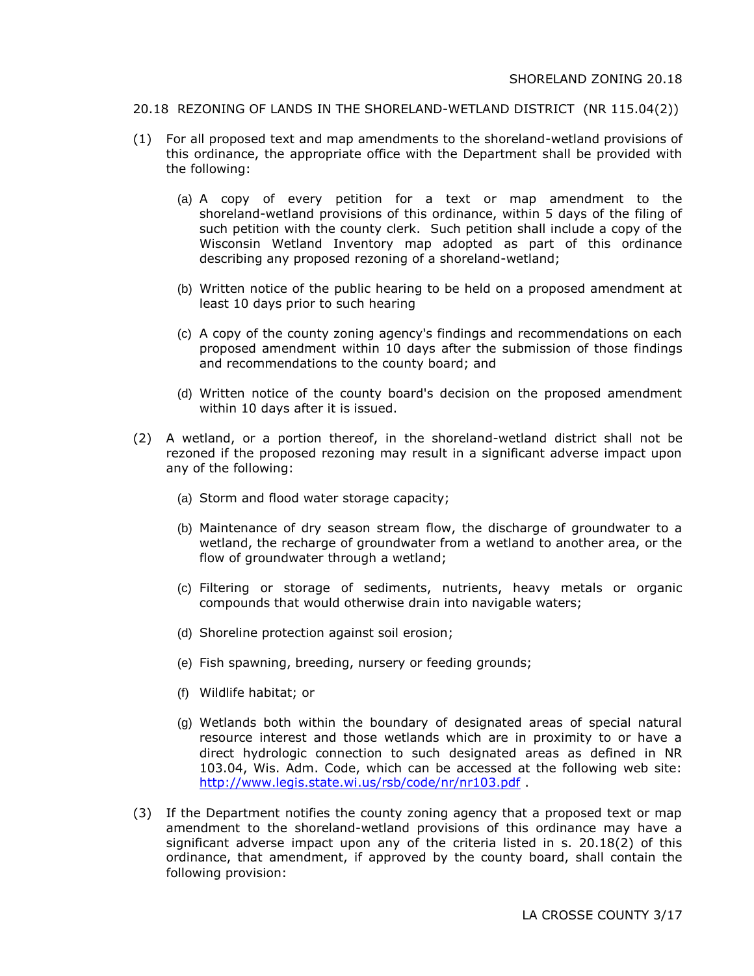#### 20.18 REZONING OF LANDS IN THE SHORELAND-WETLAND DISTRICT (NR 115.04(2))

- (1) For all proposed text and map amendments to the shoreland-wetland provisions of this ordinance, the appropriate office with the Department shall be provided with the following:
	- (a) A copy of every petition for a text or map amendment to the shoreland-wetland provisions of this ordinance, within 5 days of the filing of such petition with the county clerk. Such petition shall include a copy of the Wisconsin Wetland Inventory map adopted as part of this ordinance describing any proposed rezoning of a shoreland-wetland;
	- (b) Written notice of the public hearing to be held on a proposed amendment at least 10 days prior to such hearing
	- (c) A copy of the county zoning agency's findings and recommendations on each proposed amendment within 10 days after the submission of those findings and recommendations to the county board; and
	- (d) Written notice of the county board's decision on the proposed amendment within 10 days after it is issued.
- (2) A wetland, or a portion thereof, in the shoreland-wetland district shall not be rezoned if the proposed rezoning may result in a significant adverse impact upon any of the following:
	- (a) Storm and flood water storage capacity;
	- (b) Maintenance of dry season stream flow, the discharge of groundwater to a wetland, the recharge of groundwater from a wetland to another area, or the flow of groundwater through a wetland;
	- (c) Filtering or storage of sediments, nutrients, heavy metals or organic compounds that would otherwise drain into navigable waters;
	- (d) Shoreline protection against soil erosion;
	- (e) Fish spawning, breeding, nursery or feeding grounds;
	- (f) Wildlife habitat; or
	- (g) Wetlands both within the boundary of designated areas of special natural resource interest and those wetlands which are in proximity to or have a direct hydrologic connection to such designated areas as defined in NR 103.04, Wis. Adm. Code, which can be accessed at the following web site: <http://www.legis.state.wi.us/rsb/code/nr/nr103.pdf> .
- (3) If the Department notifies the county zoning agency that a proposed text or map amendment to the shoreland-wetland provisions of this ordinance may have a significant adverse impact upon any of the criteria listed in s. 20.18(2) of this ordinance, that amendment, if approved by the county board, shall contain the following provision: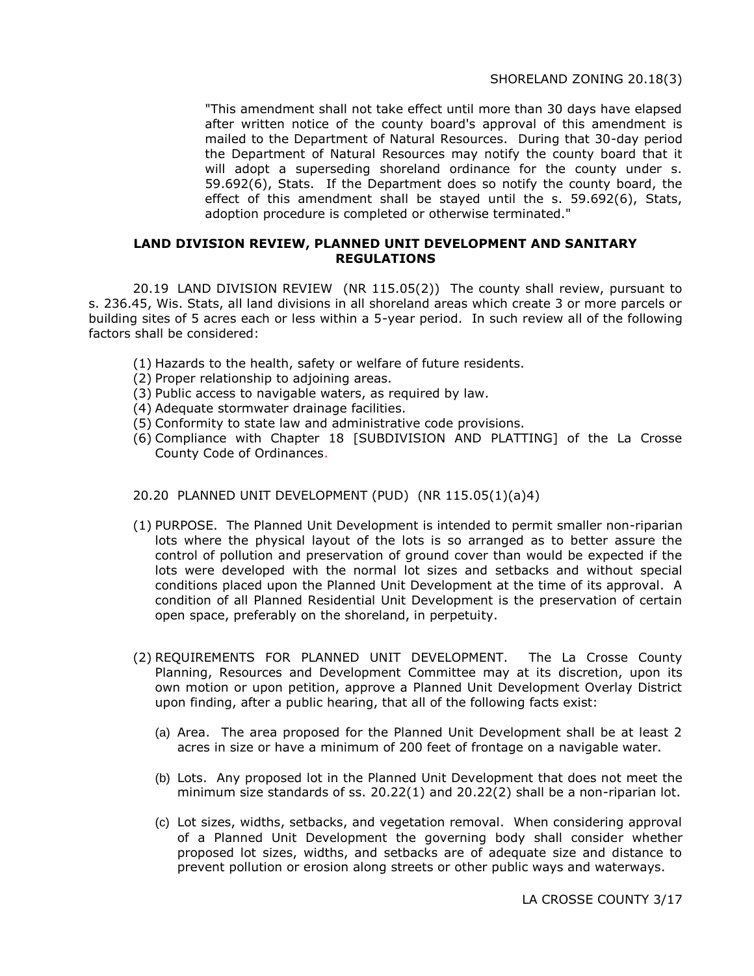"This amendment shall not take effect until more than 30 days have elapsed after written notice of the county board's approval of this amendment is mailed to the Department of Natural Resources. During that 30-day period the Department of Natural Resources may notify the county board that it will adopt a superseding shoreland ordinance for the county under s. 59.692(6), Stats. If the Department does so notify the county board, the effect of this amendment shall be stayed until the s. 59.692(6), Stats, adoption procedure is completed or otherwise terminated."

#### **LAND DIVISION REVIEW, PLANNED UNIT DEVELOPMENT AND SANITARY REGULATIONS**

20.19 LAND DIVISION REVIEW (NR 115.05(2)) The county shall review, pursuant to s. 236.45, Wis. Stats, all land divisions in all shoreland areas which create 3 or more parcels or building sites of 5 acres each or less within a 5-year period. In such review all of the following factors shall be considered:

- (1) Hazards to the health, safety or welfare of future residents.
- (2) Proper relationship to adjoining areas.
- (3) Public access to navigable waters, as required by law.
- (4) Adequate stormwater drainage facilities.
- (5) Conformity to state law and administrative code provisions.
- (6) Compliance with Chapter 18 [SUBDIVISION AND PLATTING] of the La Crosse County Code of Ordinances.

## 20.20 PLANNED UNIT DEVELOPMENT (PUD) (NR 115.05(1)(a)4)

- (1) PURPOSE. The Planned Unit Development is intended to permit smaller non-riparian lots where the physical layout of the lots is so arranged as to better assure the control of pollution and preservation of ground cover than would be expected if the lots were developed with the normal lot sizes and setbacks and without special conditions placed upon the Planned Unit Development at the time of its approval. A condition of all Planned Residential Unit Development is the preservation of certain open space, preferably on the shoreland, in perpetuity.
- (2) REQUIREMENTS FOR PLANNED UNIT DEVELOPMENT. The La Crosse County Planning, Resources and Development Committee may at its discretion, upon its own motion or upon petition, approve a Planned Unit Development Overlay District upon finding, after a public hearing, that all of the following facts exist:
	- (a) Area. The area proposed for the Planned Unit Development shall be at least 2 acres in size or have a minimum of 200 feet of frontage on a navigable water.
	- (b) Lots. Any proposed lot in the Planned Unit Development that does not meet the minimum size standards of ss. 20.22(1) and 20.22(2) shall be a non-riparian lot.
	- (c) Lot sizes, widths, setbacks, and vegetation removal. When considering approval of a Planned Unit Development the governing body shall consider whether proposed lot sizes, widths, and setbacks are of adequate size and distance to prevent pollution or erosion along streets or other public ways and waterways.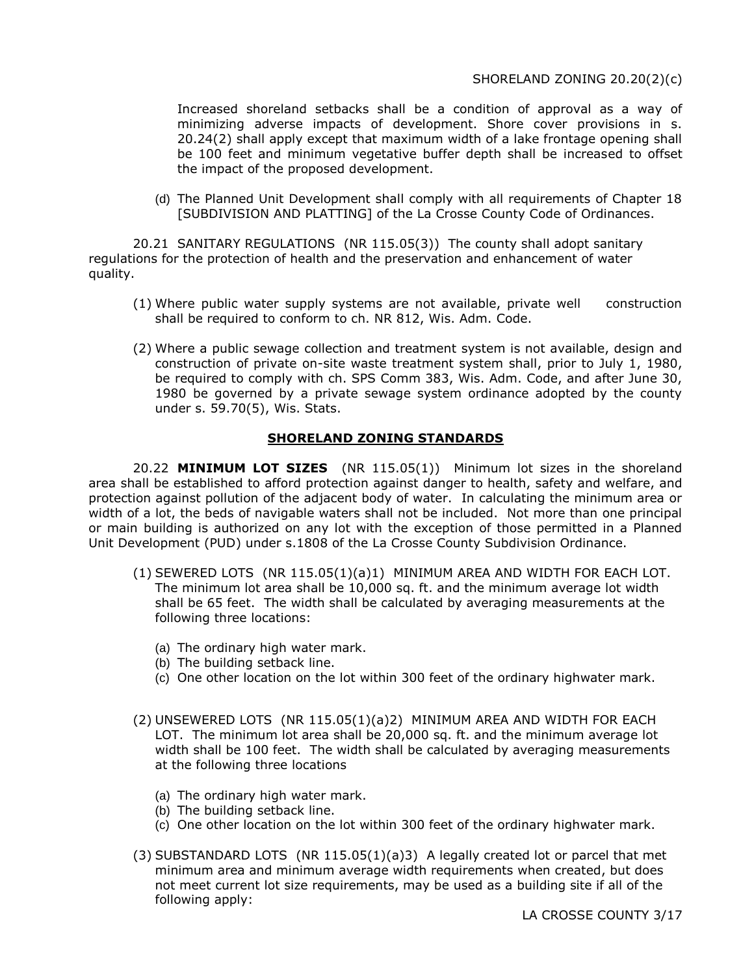## SHORELAND ZONING 20.20(2)(c)

Increased shoreland setbacks shall be a condition of approval as a way of minimizing adverse impacts of development. Shore cover provisions in s. 20.24(2) shall apply except that maximum width of a lake frontage opening shall be 100 feet and minimum vegetative buffer depth shall be increased to offset the impact of the proposed development.

(d) The Planned Unit Development shall comply with all requirements of Chapter 18 [SUBDIVISION AND PLATTING] of the La Crosse County Code of Ordinances.

20.21 SANITARY REGULATIONS (NR 115.05(3)) The county shall adopt sanitary regulations for the protection of health and the preservation and enhancement of water quality.

- (1) Where public water supply systems are not available, private well construction shall be required to conform to ch. NR 812, Wis. Adm. Code.
- (2) Where a public sewage collection and treatment system is not available, design and construction of private on-site waste treatment system shall, prior to July 1, 1980, be required to comply with ch. SPS Comm 383, Wis. Adm. Code, and after June 30, 1980 be governed by a private sewage system ordinance adopted by the county under s. 59.70(5), Wis. Stats.

## **SHORELAND ZONING STANDARDS**

20.22 **MINIMUM LOT SIZES** (NR 115.05(1)) Minimum lot sizes in the shoreland area shall be established to afford protection against danger to health, safety and welfare, and protection against pollution of the adjacent body of water. In calculating the minimum area or width of a lot, the beds of navigable waters shall not be included. Not more than one principal or main building is authorized on any lot with the exception of those permitted in a Planned Unit Development (PUD) under s.1808 of the La Crosse County Subdivision Ordinance.

- (1) SEWERED LOTS (NR 115.05(1)(a)1) MINIMUM AREA AND WIDTH FOR EACH LOT. The minimum lot area shall be 10,000 sq. ft. and the minimum average lot width shall be 65 feet. The width shall be calculated by averaging measurements at the following three locations:
	- (a) The ordinary high water mark.
	- (b) The building setback line.
	- (c) One other location on the lot within 300 feet of the ordinary highwater mark.
- (2) UNSEWERED LOTS (NR 115.05(1)(a)2) MINIMUM AREA AND WIDTH FOR EACH LOT. The minimum lot area shall be 20,000 sq. ft. and the minimum average lot width shall be 100 feet. The width shall be calculated by averaging measurements at the following three locations
	- (a) The ordinary high water mark.
	- (b) The building setback line.
	- (c) One other location on the lot within 300 feet of the ordinary highwater mark.
- (3) SUBSTANDARD LOTS (NR 115.05(1)(a)3) A legally created lot or parcel that met minimum area and minimum average width requirements when created, but does not meet current lot size requirements, may be used as a building site if all of the following apply: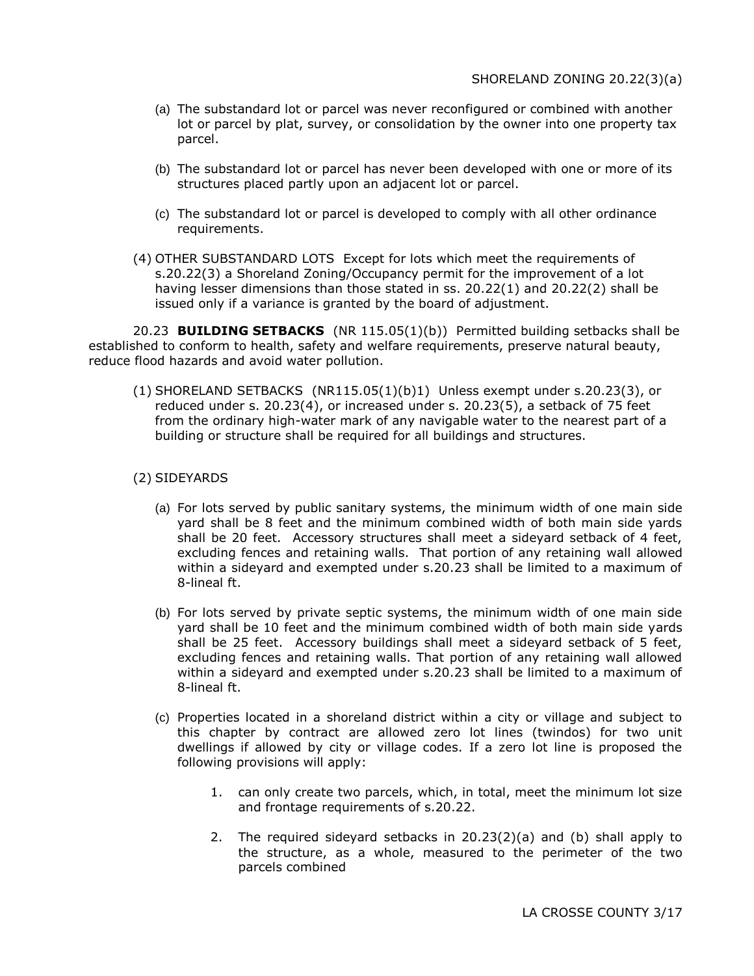- (a) The substandard lot or parcel was never reconfigured or combined with another lot or parcel by plat, survey, or consolidation by the owner into one property tax parcel.
- (b) The substandard lot or parcel has never been developed with one or more of its structures placed partly upon an adjacent lot or parcel.
- (c) The substandard lot or parcel is developed to comply with all other ordinance requirements.
- (4) OTHER SUBSTANDARD LOTS Except for lots which meet the requirements of s.20.22(3) a Shoreland Zoning/Occupancy permit for the improvement of a lot having lesser dimensions than those stated in ss. 20.22(1) and 20.22(2) shall be issued only if a variance is granted by the board of adjustment.

20.23 **BUILDING SETBACKS** (NR 115.05(1)(b)) Permitted building setbacks shall be established to conform to health, safety and welfare requirements, preserve natural beauty, reduce flood hazards and avoid water pollution.

(1) SHORELAND SETBACKS (NR115.05(1)(b)1) Unless exempt under s.20.23(3), or reduced under s. 20.23(4), or increased under s. 20.23(5), a setback of 75 feet from the ordinary high-water mark of any navigable water to the nearest part of a building or structure shall be required for all buildings and structures.

## (2) SIDEYARDS

- (a) For lots served by public sanitary systems, the minimum width of one main side yard shall be 8 feet and the minimum combined width of both main side yards shall be 20 feet. Accessory structures shall meet a sideyard setback of 4 feet, excluding fences and retaining walls. That portion of any retaining wall allowed within a sideyard and exempted under s.20.23 shall be limited to a maximum of 8-lineal ft.
- (b) For lots served by private septic systems, the minimum width of one main side yard shall be 10 feet and the minimum combined width of both main side yards shall be 25 feet. Accessory buildings shall meet a sideyard setback of 5 feet, excluding fences and retaining walls. That portion of any retaining wall allowed within a sideyard and exempted under s.20.23 shall be limited to a maximum of 8-lineal ft.
- (c) Properties located in a shoreland district within a city or village and subject to this chapter by contract are allowed zero lot lines (twindos) for two unit dwellings if allowed by city or village codes. If a zero lot line is proposed the following provisions will apply:
	- 1. can only create two parcels, which, in total, meet the minimum lot size and frontage requirements of s.20.22.
	- 2. The required sideyard setbacks in 20.23(2)(a) and (b) shall apply to the structure, as a whole, measured to the perimeter of the two parcels combined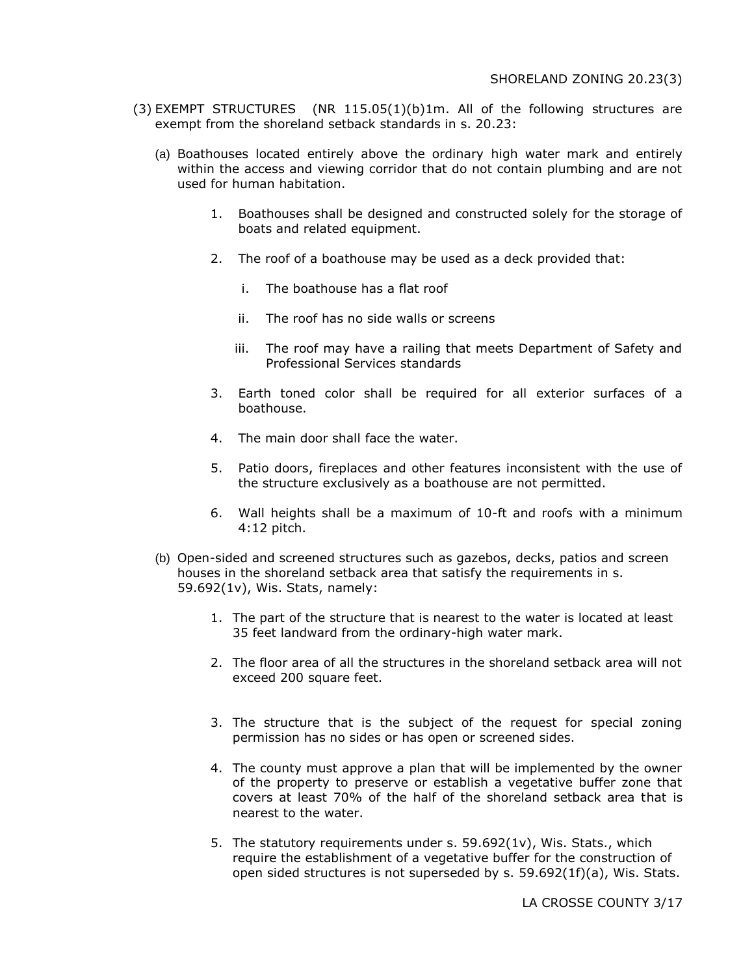- (3) EXEMPT STRUCTURES (NR 115.05(1)(b)1m. All of the following structures are exempt from the shoreland setback standards in s. 20.23:
	- (a) Boathouses located entirely above the ordinary high water mark and entirely within the access and viewing corridor that do not contain plumbing and are not used for human habitation.
		- 1. Boathouses shall be designed and constructed solely for the storage of boats and related equipment.
		- 2. The roof of a boathouse may be used as a deck provided that:
			- i. The boathouse has a flat roof
			- ii. The roof has no side walls or screens
			- iii. The roof may have a railing that meets Department of Safety and Professional Services standards
		- 3. Earth toned color shall be required for all exterior surfaces of a boathouse.
		- 4. The main door shall face the water.
		- 5. Patio doors, fireplaces and other features inconsistent with the use of the structure exclusively as a boathouse are not permitted.
		- 6. Wall heights shall be a maximum of 10-ft and roofs with a minimum 4:12 pitch.
	- (b) Open-sided and screened structures such as gazebos, decks, patios and screen houses in the shoreland setback area that satisfy the requirements in s. 59.692(1v), Wis. Stats, namely:
		- 1. The part of the structure that is nearest to the water is located at least 35 feet landward from the ordinary-high water mark.
		- 2. The floor area of all the structures in the shoreland setback area will not exceed 200 square feet.
		- 3. The structure that is the subject of the request for special zoning permission has no sides or has open or screened sides.
		- 4. The county must approve a plan that will be implemented by the owner of the property to preserve or establish a vegetative buffer zone that covers at least 70% of the half of the shoreland setback area that is nearest to the water.
		- 5. The statutory requirements under s. 59.692(1v), Wis. Stats., which require the establishment of a vegetative buffer for the construction of open sided structures is not superseded by s. 59.692(1f)(a), Wis. Stats.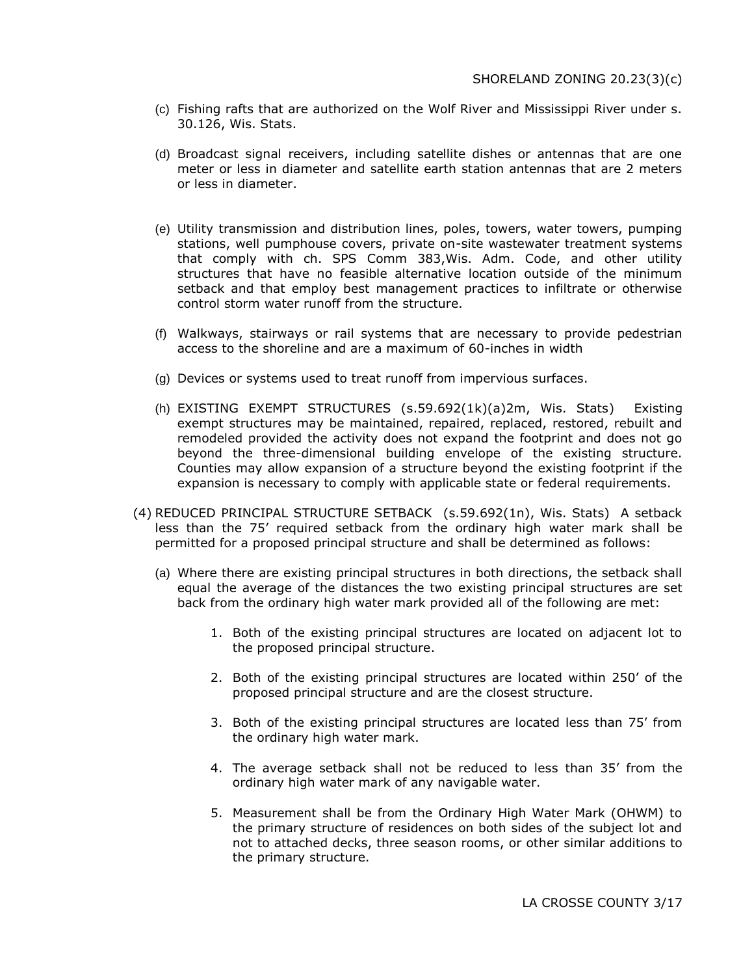- (c) Fishing rafts that are authorized on the Wolf River and Mississippi River under s. 30.126, Wis. Stats.
- (d) Broadcast signal receivers, including satellite dishes or antennas that are one meter or less in diameter and satellite earth station antennas that are 2 meters or less in diameter.
- (e) Utility transmission and distribution lines, poles, towers, water towers, pumping stations, well pumphouse covers, private on-site wastewater treatment systems that comply with ch. SPS Comm 383,Wis. Adm. Code, and other utility structures that have no feasible alternative location outside of the minimum setback and that employ best management practices to infiltrate or otherwise control storm water runoff from the structure.
- (f) Walkways, stairways or rail systems that are necessary to provide pedestrian access to the shoreline and are a maximum of 60-inches in width
- (g) Devices or systems used to treat runoff from impervious surfaces.
- (h) EXISTING EXEMPT STRUCTURES (s.59.692(1k)(a)2m, Wis. Stats) Existing exempt structures may be maintained, repaired, replaced, restored, rebuilt and remodeled provided the activity does not expand the footprint and does not go beyond the three-dimensional building envelope of the existing structure. Counties may allow expansion of a structure beyond the existing footprint if the expansion is necessary to comply with applicable state or federal requirements.
- (4) REDUCED PRINCIPAL STRUCTURE SETBACK (s.59.692(1n), Wis. Stats) A setback less than the 75' required setback from the ordinary high water mark shall be permitted for a proposed principal structure and shall be determined as follows:
	- (a) Where there are existing principal structures in both directions, the setback shall equal the average of the distances the two existing principal structures are set back from the ordinary high water mark provided all of the following are met:
		- 1. Both of the existing principal structures are located on adjacent lot to the proposed principal structure.
		- 2. Both of the existing principal structures are located within 250' of the proposed principal structure and are the closest structure.
		- 3. Both of the existing principal structures are located less than 75' from the ordinary high water mark.
		- 4. The average setback shall not be reduced to less than 35' from the ordinary high water mark of any navigable water.
		- 5. Measurement shall be from the Ordinary High Water Mark (OHWM) to the primary structure of residences on both sides of the subject lot and not to attached decks, three season rooms, or other similar additions to the primary structure.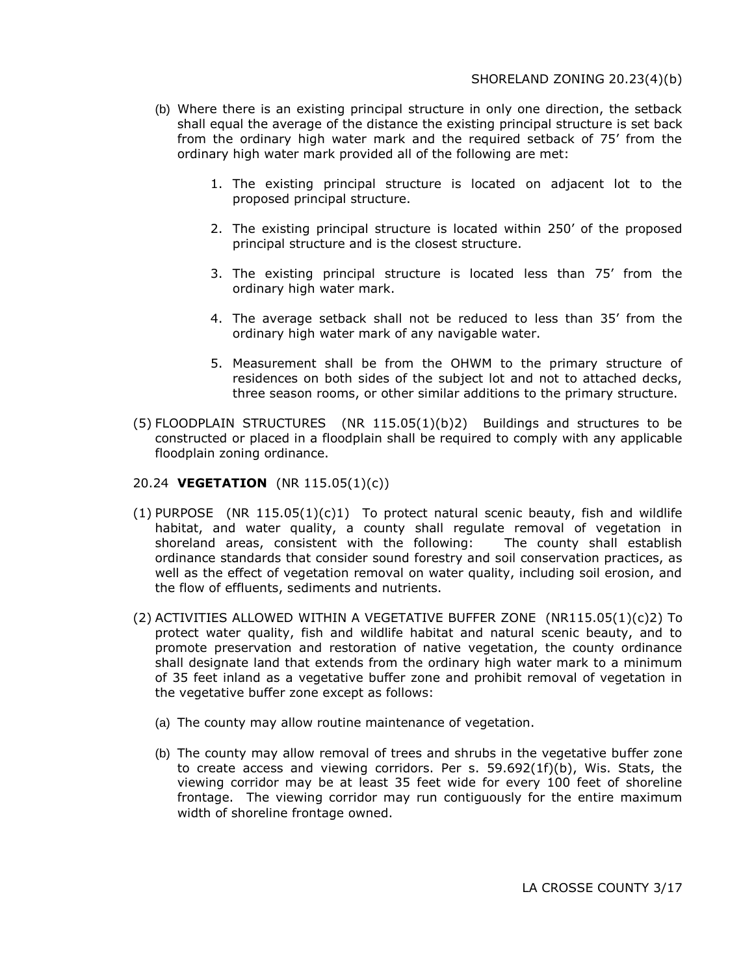- (b) Where there is an existing principal structure in only one direction, the setback shall equal the average of the distance the existing principal structure is set back from the ordinary high water mark and the required setback of 75' from the ordinary high water mark provided all of the following are met:
	- 1. The existing principal structure is located on adjacent lot to the proposed principal structure.
	- 2. The existing principal structure is located within 250' of the proposed principal structure and is the closest structure.
	- 3. The existing principal structure is located less than 75' from the ordinary high water mark.
	- 4. The average setback shall not be reduced to less than 35' from the ordinary high water mark of any navigable water.
	- 5. Measurement shall be from the OHWM to the primary structure of residences on both sides of the subject lot and not to attached decks, three season rooms, or other similar additions to the primary structure.
- $(5)$  FLOODPLAIN STRUCTURES (NR 115.05 $(1)(b)$ 2) Buildings and structures to be constructed or placed in a floodplain shall be required to comply with any applicable floodplain zoning ordinance.

#### 20.24 **VEGETATION** (NR 115.05(1)(c))

- (1) PURPOSE (NR  $115.05(1)(c)1$ ) To protect natural scenic beauty, fish and wildlife habitat, and water quality, a county shall regulate removal of vegetation in shoreland areas, consistent with the following: The county shall establish ordinance standards that consider sound forestry and soil conservation practices, as well as the effect of vegetation removal on water quality, including soil erosion, and the flow of effluents, sediments and nutrients.
- (2) ACTIVITIES ALLOWED WITHIN A VEGETATIVE BUFFER ZONE (NR115.05(1)(c)2) To protect water quality, fish and wildlife habitat and natural scenic beauty, and to promote preservation and restoration of native vegetation, the county ordinance shall designate land that extends from the ordinary high water mark to a minimum of 35 feet inland as a vegetative buffer zone and prohibit removal of vegetation in the vegetative buffer zone except as follows:
	- (a) The county may allow routine maintenance of vegetation.
	- (b) The county may allow removal of trees and shrubs in the vegetative buffer zone to create access and viewing corridors. Per s. 59.692(1f)(b), Wis. Stats, the viewing corridor may be at least 35 feet wide for every 100 feet of shoreline frontage. The viewing corridor may run contiguously for the entire maximum width of shoreline frontage owned.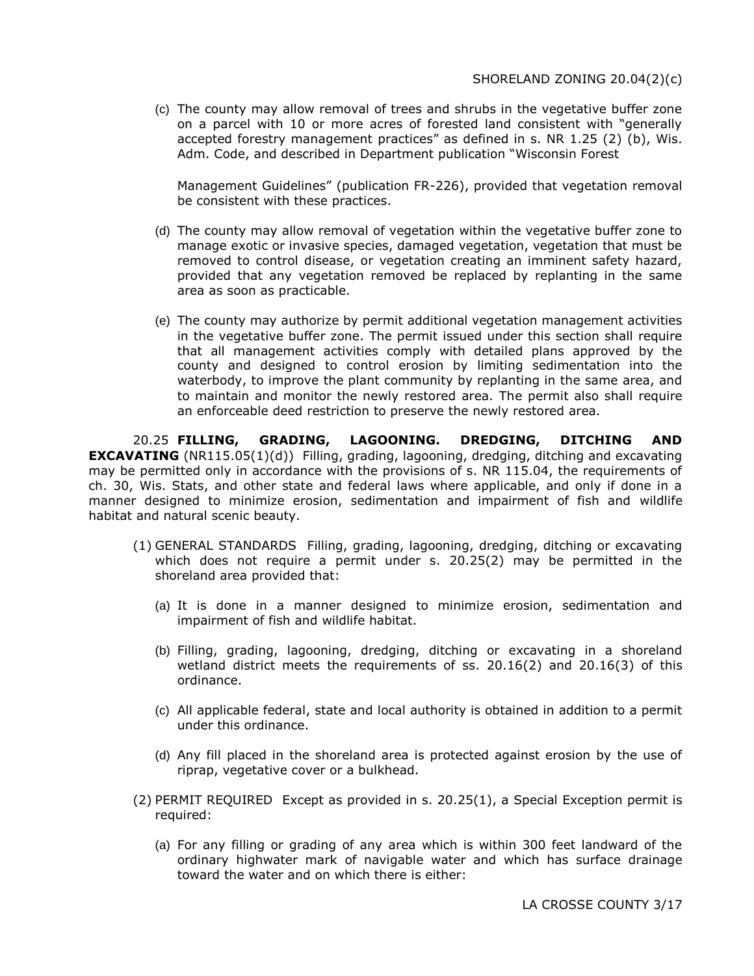(c) The county may allow removal of trees and shrubs in the vegetative buffer zone on a parcel with 10 or more acres of forested land consistent with "generally accepted forestry management practices" as defined in s. NR 1.25 (2) (b), Wis. Adm. Code, and described in Department publication "Wisconsin Forest

Management Guidelines" (publication FR-226), provided that vegetation removal be consistent with these practices.

- (d) The county may allow removal of vegetation within the vegetative buffer zone to manage exotic or invasive species, damaged vegetation, vegetation that must be removed to control disease, or vegetation creating an imminent safety hazard, provided that any vegetation removed be replaced by replanting in the same area as soon as practicable.
- (e) The county may authorize by permit additional vegetation management activities in the vegetative buffer zone. The permit issued under this section shall require that all management activities comply with detailed plans approved by the county and designed to control erosion by limiting sedimentation into the waterbody, to improve the plant community by replanting in the same area, and to maintain and monitor the newly restored area. The permit also shall require an enforceable deed restriction to preserve the newly restored area.

20.25 **FILLING, GRADING, LAGOONING. DREDGING, DITCHING AND EXCAVATING** (NR115.05(1)(d)) Filling, grading, lagooning, dredging, ditching and excavating may be permitted only in accordance with the provisions of s. NR 115.04, the requirements of ch. 30, Wis. Stats, and other state and federal laws where applicable, and only if done in a manner designed to minimize erosion, sedimentation and impairment of fish and wildlife habitat and natural scenic beauty.

- (1) GENERAL STANDARDS Filling, grading, lagooning, dredging, ditching or excavating which does not require a permit under s. 20.25(2) may be permitted in the shoreland area provided that:
	- (a) It is done in a manner designed to minimize erosion, sedimentation and impairment of fish and wildlife habitat.
	- (b) Filling, grading, lagooning, dredging, ditching or excavating in a shoreland wetland district meets the requirements of ss.  $20.16(2)$  and  $20.16(3)$  of this ordinance.
	- (c) All applicable federal, state and local authority is obtained in addition to a permit under this ordinance.
	- (d) Any fill placed in the shoreland area is protected against erosion by the use of riprap, vegetative cover or a bulkhead.
- (2) PERMIT REQUIRED Except as provided in s. 20.25(1), a Special Exception permit is required:
	- (a) For any filling or grading of any area which is within 300 feet landward of the ordinary highwater mark of navigable water and which has surface drainage toward the water and on which there is either: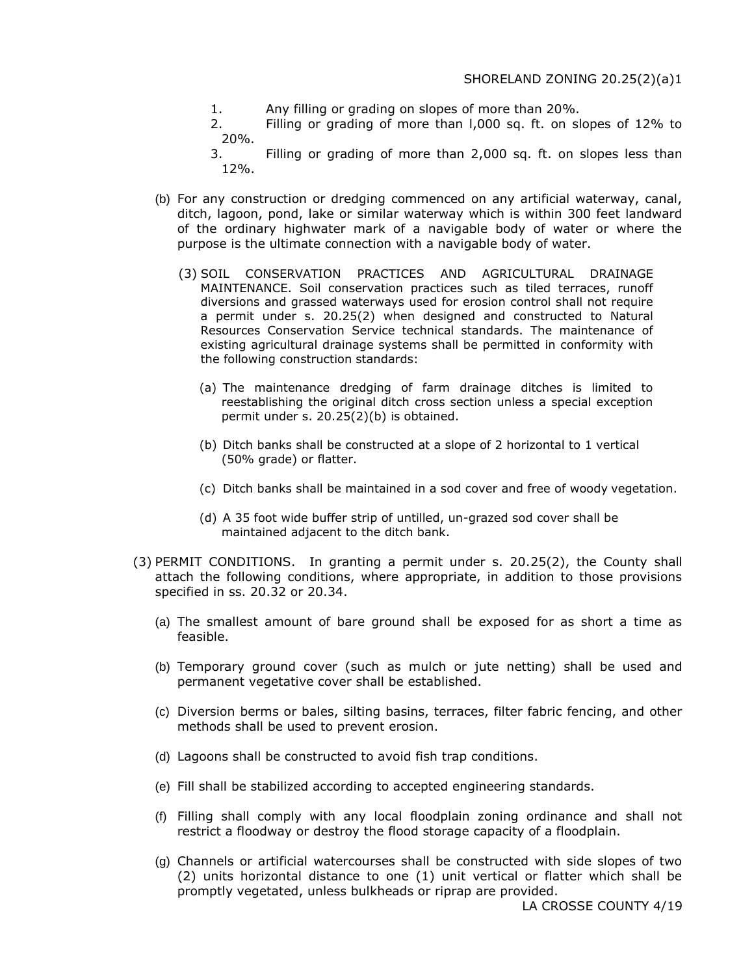1. Any filling or grading on slopes of more than 20%.

2. Filling or grading of more than l,000 sq. ft. on slopes of 12% to 20%.

- 3. Filling or grading of more than 2,000 sq. ft. on slopes less than 12%.
- (b) For any construction or dredging commenced on any artificial waterway, canal, ditch, lagoon, pond, lake or similar waterway which is within 300 feet landward of the ordinary highwater mark of a navigable body of water or where the purpose is the ultimate connection with a navigable body of water.
	- (3) SOIL CONSERVATION PRACTICES AND AGRICULTURAL DRAINAGE MAINTENANCE. Soil conservation practices such as tiled terraces, runoff diversions and grassed waterways used for erosion control shall not require a permit under s. 20.25(2) when designed and constructed to Natural Resources Conservation Service technical standards. The maintenance of existing agricultural drainage systems shall be permitted in conformity with the following construction standards:
		- (a) The maintenance dredging of farm drainage ditches is limited to reestablishing the original ditch cross section unless a special exception permit under s. 20.25(2)(b) is obtained.
		- (b) Ditch banks shall be constructed at a slope of 2 horizontal to 1 vertical (50% grade) or flatter.
		- (c) Ditch banks shall be maintained in a sod cover and free of woody vegetation.
		- (d) A 35 foot wide buffer strip of untilled, un-grazed sod cover shall be maintained adjacent to the ditch bank.
- (3) PERMIT CONDITIONS. In granting a permit under s. 20.25(2), the County shall attach the following conditions, where appropriate, in addition to those provisions specified in ss. 20.32 or 20.34.
	- (a) The smallest amount of bare ground shall be exposed for as short a time as feasible.
	- (b) Temporary ground cover (such as mulch or jute netting) shall be used and permanent vegetative cover shall be established.
	- (c) Diversion berms or bales, silting basins, terraces, filter fabric fencing, and other methods shall be used to prevent erosion.
	- (d) Lagoons shall be constructed to avoid fish trap conditions.
	- (e) Fill shall be stabilized according to accepted engineering standards.
	- (f) Filling shall comply with any local floodplain zoning ordinance and shall not restrict a floodway or destroy the flood storage capacity of a floodplain.
	- (g) Channels or artificial watercourses shall be constructed with side slopes of two (2) units horizontal distance to one (1) unit vertical or flatter which shall be promptly vegetated, unless bulkheads or riprap are provided.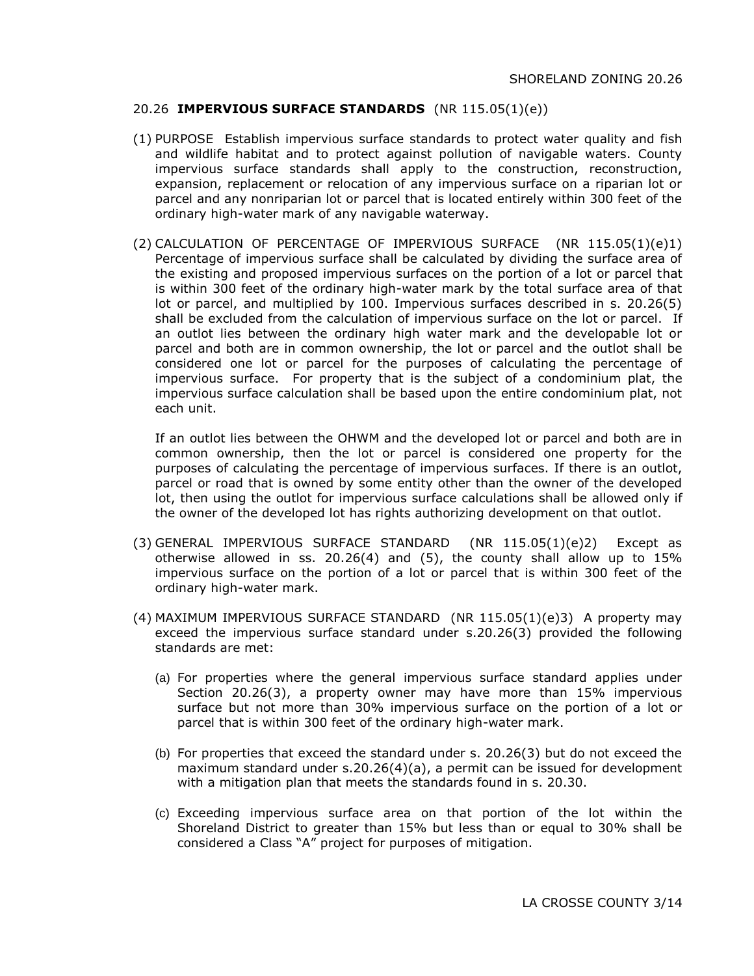# 20.26 **IMPERVIOUS SURFACE STANDARDS** (NR 115.05(1)(e))

- (1) PURPOSE Establish impervious surface standards to protect water quality and fish and wildlife habitat and to protect against pollution of navigable waters. County impervious surface standards shall apply to the construction, reconstruction, expansion, replacement or relocation of any impervious surface on a riparian lot or parcel and any nonriparian lot or parcel that is located entirely within 300 feet of the ordinary high-water mark of any navigable waterway.
- (2) CALCULATION OF PERCENTAGE OF IMPERVIOUS SURFACE (NR 115.05(1)(e)1) Percentage of impervious surface shall be calculated by dividing the surface area of the existing and proposed impervious surfaces on the portion of a lot or parcel that is within 300 feet of the ordinary high-water mark by the total surface area of that lot or parcel, and multiplied by 100. Impervious surfaces described in s. 20.26(5) shall be excluded from the calculation of impervious surface on the lot or parcel. If an outlot lies between the ordinary high water mark and the developable lot or parcel and both are in common ownership, the lot or parcel and the outlot shall be considered one lot or parcel for the purposes of calculating the percentage of impervious surface. For property that is the subject of a condominium plat, the impervious surface calculation shall be based upon the entire condominium plat, not each unit.

If an outlot lies between the OHWM and the developed lot or parcel and both are in common ownership, then the lot or parcel is considered one property for the purposes of calculating the percentage of impervious surfaces. If there is an outlot, parcel or road that is owned by some entity other than the owner of the developed lot, then using the outlot for impervious surface calculations shall be allowed only if the owner of the developed lot has rights authorizing development on that outlot.

- (3) GENERAL IMPERVIOUS SURFACE STANDARD (NR 115.05(1)(e)2) Except as otherwise allowed in ss. 20.26(4) and (5), the county shall allow up to 15% impervious surface on the portion of a lot or parcel that is within 300 feet of the ordinary high-water mark.
- (4) MAXIMUM IMPERVIOUS SURFACE STANDARD (NR 115.05(1)(e)3) A property may exceed the impervious surface standard under s.20.26(3) provided the following standards are met:
	- (a) For properties where the general impervious surface standard applies under Section 20.26(3), a property owner may have more than 15% impervious surface but not more than 30% impervious surface on the portion of a lot or parcel that is within 300 feet of the ordinary high-water mark.
	- (b) For properties that exceed the standard under s. 20.26(3) but do not exceed the maximum standard under s.20.26(4)(a), a permit can be issued for development with a mitigation plan that meets the standards found in s. 20.30.
	- (c) Exceeding impervious surface area on that portion of the lot within the Shoreland District to greater than 15% but less than or equal to 30% shall be considered a Class "A" project for purposes of mitigation.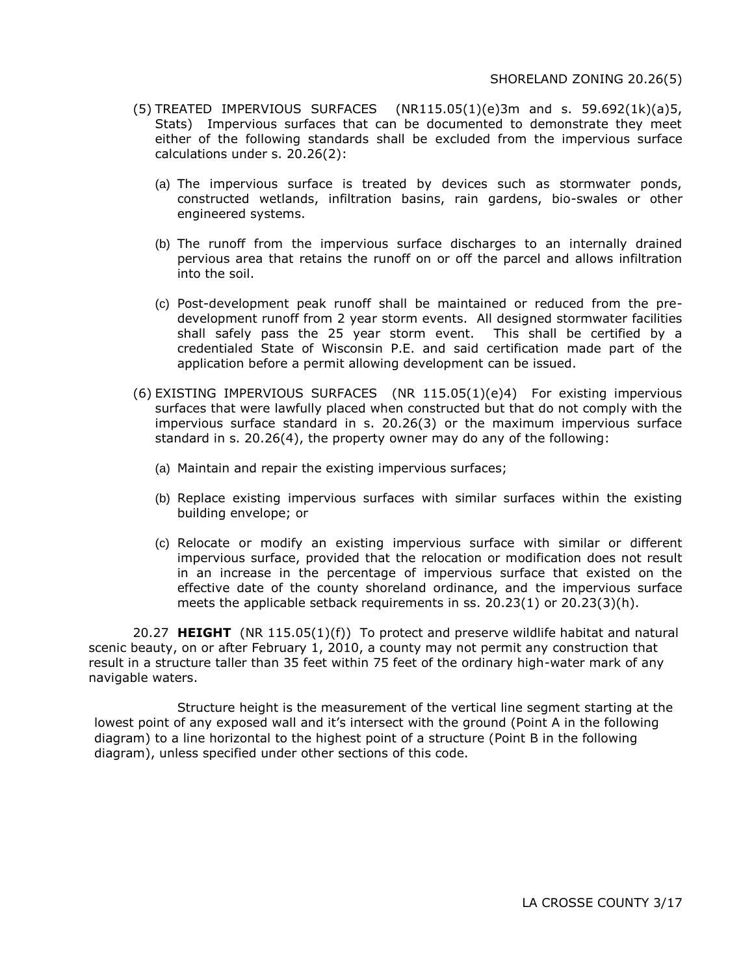- (5) TREATED IMPERVIOUS SURFACES  $(NR115.05(1)(e)3m$  and s. 59.692(1k)(a)5, Stats) Impervious surfaces that can be documented to demonstrate they meet either of the following standards shall be excluded from the impervious surface calculations under s. 20.26(2):
	- (a) The impervious surface is treated by devices such as stormwater ponds, constructed wetlands, infiltration basins, rain gardens, bio-swales or other engineered systems.
	- (b) The runoff from the impervious surface discharges to an internally drained pervious area that retains the runoff on or off the parcel and allows infiltration into the soil.
	- (c) Post-development peak runoff shall be maintained or reduced from the predevelopment runoff from 2 year storm events. All designed stormwater facilities shall safely pass the 25 year storm event. This shall be certified by a credentialed State of Wisconsin P.E. and said certification made part of the application before a permit allowing development can be issued.
- (6) EXISTING IMPERVIOUS SURFACES (NR 115.05(1)(e)4) For existing impervious surfaces that were lawfully placed when constructed but that do not comply with the impervious surface standard in s. 20.26(3) or the maximum impervious surface standard in s. 20.26(4), the property owner may do any of the following:
	- (a) Maintain and repair the existing impervious surfaces;
	- (b) Replace existing impervious surfaces with similar surfaces within the existing building envelope; or
	- (c) Relocate or modify an existing impervious surface with similar or different impervious surface, provided that the relocation or modification does not result in an increase in the percentage of impervious surface that existed on the effective date of the county shoreland ordinance, and the impervious surface meets the applicable setback requirements in ss. 20.23(1) or 20.23(3)(h).

20.27 **HEIGHT** (NR 115.05(1)(f)) To protect and preserve wildlife habitat and natural scenic beauty, on or after February 1, 2010, a county may not permit any construction that result in a structure taller than 35 feet within 75 feet of the ordinary high-water mark of any navigable waters.

Structure height is the measurement of the vertical line segment starting at the lowest point of any exposed wall and it's intersect with the ground (Point A in the following diagram) to a line horizontal to the highest point of a structure (Point B in the following diagram), unless specified under other sections of this code.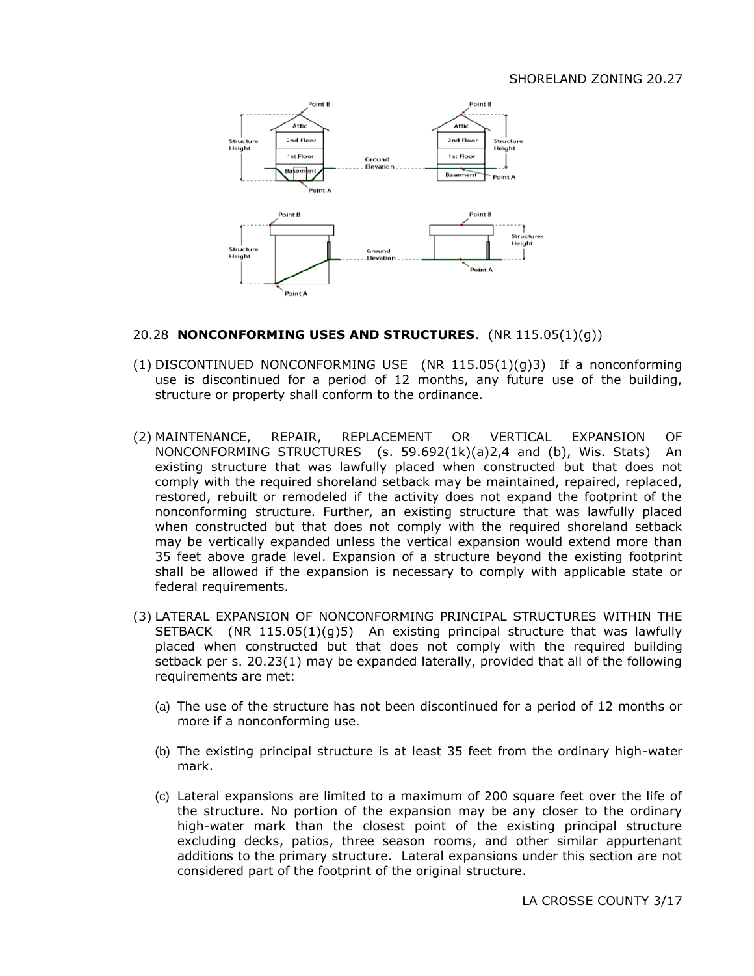#### SHORELAND ZONING 20.27



#### 20.28 **NONCONFORMING USES AND STRUCTURES**. (NR 115.05(1)(g))

- (1) DISCONTINUED NONCONFORMING USE (NR 115.05(1)(g)3) If a nonconforming use is discontinued for a period of 12 months, any future use of the building, structure or property shall conform to the ordinance.
- (2) MAINTENANCE, REPAIR, REPLACEMENT OR VERTICAL EXPANSION OF NONCONFORMING STRUCTURES (s. 59.692(1k)(a)2,4 and (b), Wis. Stats) An existing structure that was lawfully placed when constructed but that does not comply with the required shoreland setback may be maintained, repaired, replaced, restored, rebuilt or remodeled if the activity does not expand the footprint of the nonconforming structure. Further, an existing structure that was lawfully placed when constructed but that does not comply with the required shoreland setback may be vertically expanded unless the vertical expansion would extend more than 35 feet above grade level. Expansion of a structure beyond the existing footprint shall be allowed if the expansion is necessary to comply with applicable state or federal requirements.
- (3) LATERAL EXPANSION OF NONCONFORMING PRINCIPAL STRUCTURES WITHIN THE SETBACK (NR  $115.05(1)(g)5$ ) An existing principal structure that was lawfully placed when constructed but that does not comply with the required building setback per s. 20.23(1) may be expanded laterally, provided that all of the following requirements are met:
	- (a) The use of the structure has not been discontinued for a period of 12 months or more if a nonconforming use.
	- (b) The existing principal structure is at least 35 feet from the ordinary high-water mark.
	- (c) Lateral expansions are limited to a maximum of 200 square feet over the life of the structure. No portion of the expansion may be any closer to the ordinary high-water mark than the closest point of the existing principal structure excluding decks, patios, three season rooms, and other similar appurtenant additions to the primary structure. Lateral expansions under this section are not considered part of the footprint of the original structure.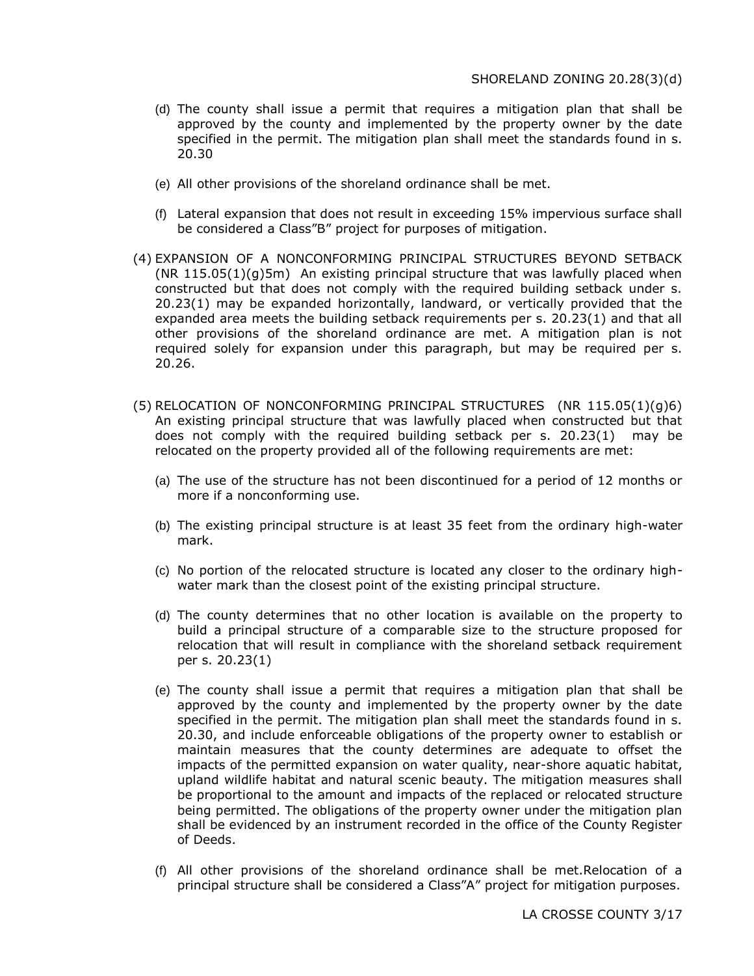- (d) The county shall issue a permit that requires a mitigation plan that shall be approved by the county and implemented by the property owner by the date specified in the permit. The mitigation plan shall meet the standards found in s. 20.30
- (e) All other provisions of the shoreland ordinance shall be met.
- (f) Lateral expansion that does not result in exceeding 15% impervious surface shall be considered a Class"B" project for purposes of mitigation.
- (4) EXPANSION OF A NONCONFORMING PRINCIPAL STRUCTURES BEYOND SETBACK (NR 115.05(1)(g)5m) An existing principal structure that was lawfully placed when constructed but that does not comply with the required building setback under s. 20.23(1) may be expanded horizontally, landward, or vertically provided that the expanded area meets the building setback requirements per s. 20.23(1) and that all other provisions of the shoreland ordinance are met. A mitigation plan is not required solely for expansion under this paragraph, but may be required per s. 20.26.
- (5) RELOCATION OF NONCONFORMING PRINCIPAL STRUCTURES (NR 115.05(1)(g)6) An existing principal structure that was lawfully placed when constructed but that does not comply with the required building setback per s. 20.23(1) may be relocated on the property provided all of the following requirements are met:
	- (a) The use of the structure has not been discontinued for a period of 12 months or more if a nonconforming use.
	- (b) The existing principal structure is at least 35 feet from the ordinary high-water mark.
	- (c) No portion of the relocated structure is located any closer to the ordinary highwater mark than the closest point of the existing principal structure.
	- (d) The county determines that no other location is available on the property to build a principal structure of a comparable size to the structure proposed for relocation that will result in compliance with the shoreland setback requirement per s. 20.23(1)
	- (e) The county shall issue a permit that requires a mitigation plan that shall be approved by the county and implemented by the property owner by the date specified in the permit. The mitigation plan shall meet the standards found in s. 20.30, and include enforceable obligations of the property owner to establish or maintain measures that the county determines are adequate to offset the impacts of the permitted expansion on water quality, near-shore aquatic habitat, upland wildlife habitat and natural scenic beauty. The mitigation measures shall be proportional to the amount and impacts of the replaced or relocated structure being permitted. The obligations of the property owner under the mitigation plan shall be evidenced by an instrument recorded in the office of the County Register of Deeds.
	- (f) All other provisions of the shoreland ordinance shall be met.Relocation of a principal structure shall be considered a Class"A" project for mitigation purposes.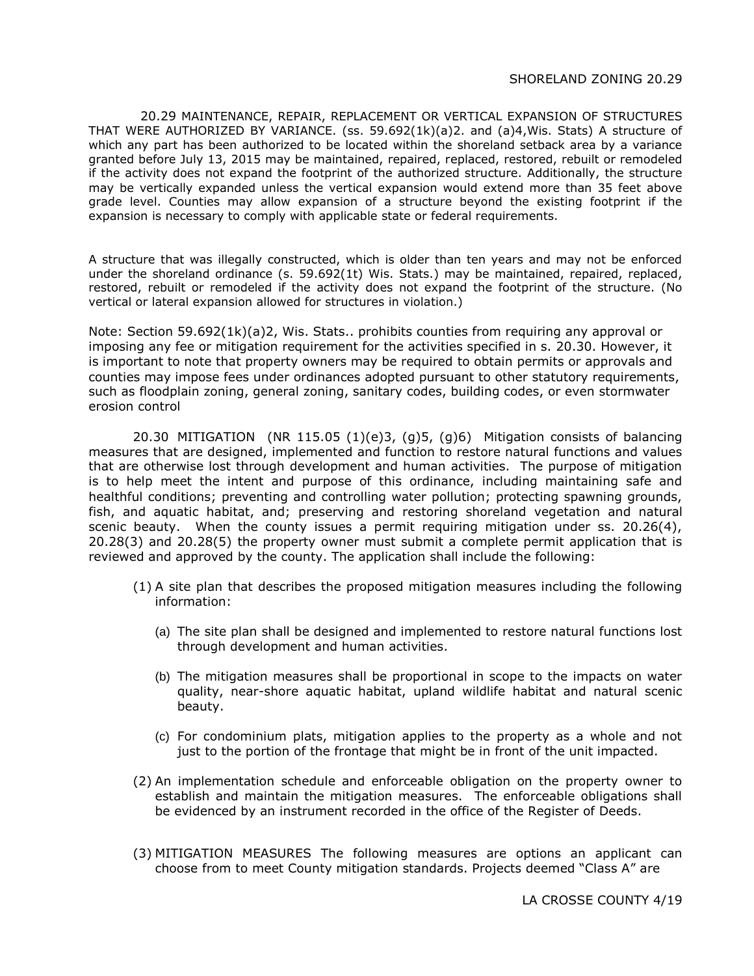20.29 MAINTENANCE, REPAIR, REPLACEMENT OR VERTICAL EXPANSION OF STRUCTURES THAT WERE AUTHORIZED BY VARIANCE. (ss. 59.692(1k)(a)2. and (a)4,Wis. Stats) A structure of which any part has been authorized to be located within the shoreland setback area by a variance granted before July 13, 2015 may be maintained, repaired, replaced, restored, rebuilt or remodeled if the activity does not expand the footprint of the authorized structure. Additionally, the structure may be vertically expanded unless the vertical expansion would extend more than 35 feet above grade level. Counties may allow expansion of a structure beyond the existing footprint if the expansion is necessary to comply with applicable state or federal requirements.

A structure that was illegally constructed, which is older than ten years and may not be enforced under the shoreland ordinance (s. 59.692(1t) Wis. Stats.) may be maintained, repaired, replaced, restored, rebuilt or remodeled if the activity does not expand the footprint of the structure. (No vertical or lateral expansion allowed for structures in violation.)

Note: Section 59.692(1k)(a)2, Wis. Stats.. prohibits counties from requiring any approval or imposing any fee or mitigation requirement for the activities specified in s. 20.30. However, it is important to note that property owners may be required to obtain permits or approvals and counties may impose fees under ordinances adopted pursuant to other statutory requirements, such as floodplain zoning, general zoning, sanitary codes, building codes, or even stormwater erosion control

20.30 MITIGATION (NR 115.05  $(1)(e)3$ ,  $(q)5$ ,  $(q)6$ ) Mitigation consists of balancing measures that are designed, implemented and function to restore natural functions and values that are otherwise lost through development and human activities. The purpose of mitigation is to help meet the intent and purpose of this ordinance, including maintaining safe and healthful conditions; preventing and controlling water pollution; protecting spawning grounds, fish, and aquatic habitat, and; preserving and restoring shoreland vegetation and natural scenic beauty. When the county issues a permit requiring mitigation under ss. 20.26(4), 20.28(3) and 20.28(5) the property owner must submit a complete permit application that is reviewed and approved by the county. The application shall include the following:

- (1) A site plan that describes the proposed mitigation measures including the following information:
	- (a) The site plan shall be designed and implemented to restore natural functions lost through development and human activities.
	- (b) The mitigation measures shall be proportional in scope to the impacts on water quality, near-shore aquatic habitat, upland wildlife habitat and natural scenic beauty.
	- (c) For condominium plats, mitigation applies to the property as a whole and not just to the portion of the frontage that might be in front of the unit impacted.
- (2) An implementation schedule and enforceable obligation on the property owner to establish and maintain the mitigation measures. The enforceable obligations shall be evidenced by an instrument recorded in the office of the Register of Deeds.
- (3) MITIGATION MEASURES The following measures are options an applicant can choose from to meet County mitigation standards. Projects deemed "Class A" are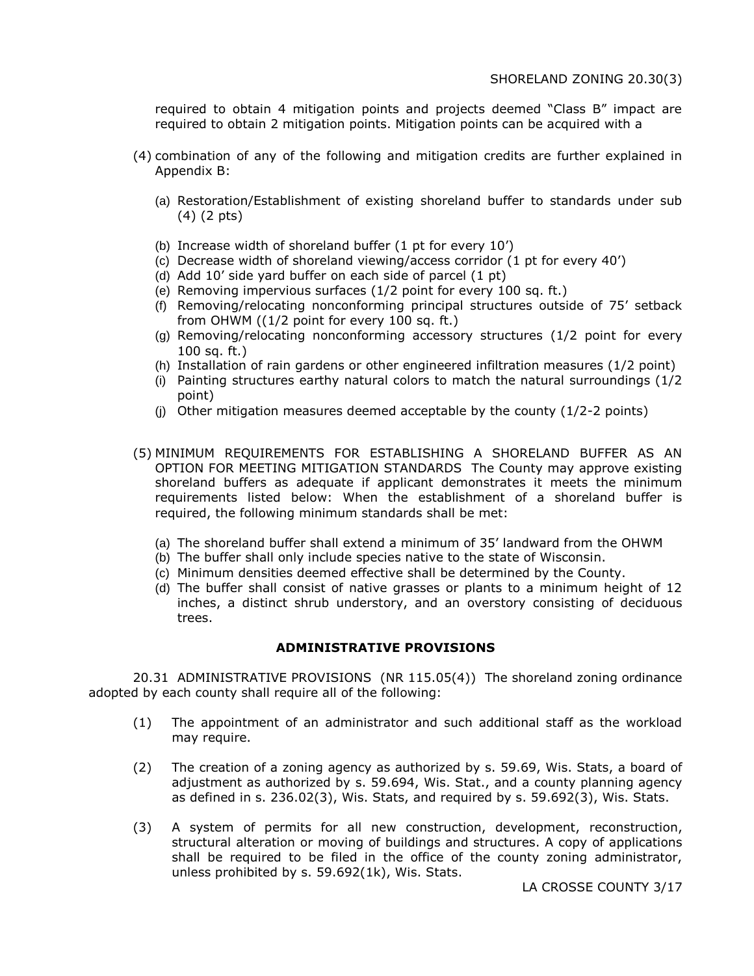required to obtain 4 mitigation points and projects deemed "Class B" impact are required to obtain 2 mitigation points. Mitigation points can be acquired with a

- (4) combination of any of the following and mitigation credits are further explained in Appendix B:
	- (a) Restoration/Establishment of existing shoreland buffer to standards under sub (4) (2 pts)
	- (b) Increase width of shoreland buffer (1 pt for every 10')
	- (c) Decrease width of shoreland viewing/access corridor (1 pt for every 40')
	- (d) Add 10' side yard buffer on each side of parcel (1 pt)
	- (e) Removing impervious surfaces (1/2 point for every 100 sq. ft.)
	- (f) Removing/relocating nonconforming principal structures outside of 75' setback from OHWM ((1/2 point for every 100 sq. ft.)
	- (g) Removing/relocating nonconforming accessory structures (1/2 point for every 100 sq. ft.)
	- (h) Installation of rain gardens or other engineered infiltration measures (1/2 point)
	- (i) Painting structures earthy natural colors to match the natural surroundings (1/2 point)
	- (i) Other mitigation measures deemed acceptable by the county  $(1/2-2)$  points)
- (5) MINIMUM REQUIREMENTS FOR ESTABLISHING A SHORELAND BUFFER AS AN OPTION FOR MEETING MITIGATION STANDARDS The County may approve existing shoreland buffers as adequate if applicant demonstrates it meets the minimum requirements listed below: When the establishment of a shoreland buffer is required, the following minimum standards shall be met:
	- (a) The shoreland buffer shall extend a minimum of 35' landward from the OHWM
	- (b) The buffer shall only include species native to the state of Wisconsin.
	- (c) Minimum densities deemed effective shall be determined by the County.
	- (d) The buffer shall consist of native grasses or plants to a minimum height of 12 inches, a distinct shrub understory, and an overstory consisting of deciduous trees.

#### **ADMINISTRATIVE PROVISIONS**

20.31 ADMINISTRATIVE PROVISIONS (NR 115.05(4)) The shoreland zoning ordinance adopted by each county shall require all of the following:

- (1) The appointment of an administrator and such additional staff as the workload may require.
- (2) The creation of a zoning agency as authorized by s. 59.69, Wis. Stats, a board of adjustment as authorized by s. 59.694, Wis. Stat., and a county planning agency as defined in s. 236.02(3), Wis. Stats, and required by s. 59.692(3), Wis. Stats.
- (3) A system of permits for all new construction, development, reconstruction, structural alteration or moving of buildings and structures. A copy of applications shall be required to be filed in the office of the county zoning administrator, unless prohibited by s. 59.692(1k), Wis. Stats.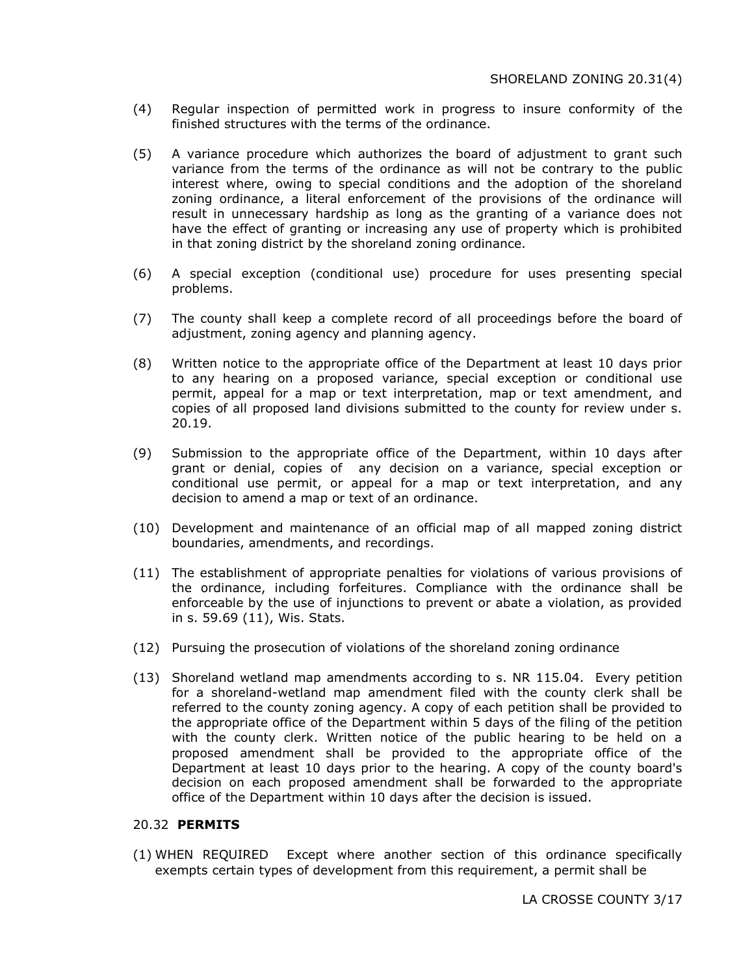- (4) Regular inspection of permitted work in progress to insure conformity of the finished structures with the terms of the ordinance.
- (5) A variance procedure which authorizes the board of adjustment to grant such variance from the terms of the ordinance as will not be contrary to the public interest where, owing to special conditions and the adoption of the shoreland zoning ordinance, a literal enforcement of the provisions of the ordinance will result in unnecessary hardship as long as the granting of a variance does not have the effect of granting or increasing any use of property which is prohibited in that zoning district by the shoreland zoning ordinance.
- (6) A special exception (conditional use) procedure for uses presenting special problems.
- (7) The county shall keep a complete record of all proceedings before the board of adjustment, zoning agency and planning agency.
- (8) Written notice to the appropriate office of the Department at least 10 days prior to any hearing on a proposed variance, special exception or conditional use permit, appeal for a map or text interpretation, map or text amendment, and copies of all proposed land divisions submitted to the county for review under s. 20.19.
- (9) Submission to the appropriate office of the Department, within 10 days after grant or denial, copies of any decision on a variance, special exception or conditional use permit, or appeal for a map or text interpretation, and any decision to amend a map or text of an ordinance.
- (10) Development and maintenance of an official map of all mapped zoning district boundaries, amendments, and recordings.
- (11) The establishment of appropriate penalties for violations of various provisions of the ordinance, including forfeitures. Compliance with the ordinance shall be enforceable by the use of injunctions to prevent or abate a violation, as provided in s. 59.69 (11), Wis. Stats.
- (12) Pursuing the prosecution of violations of the shoreland zoning ordinance
- (13) Shoreland wetland map amendments according to s. NR 115.04. Every petition for a shoreland-wetland map amendment filed with the county clerk shall be referred to the county zoning agency. A copy of each petition shall be provided to the appropriate office of the Department within 5 days of the filing of the petition with the county clerk. Written notice of the public hearing to be held on a proposed amendment shall be provided to the appropriate office of the Department at least 10 days prior to the hearing. A copy of the county board's decision on each proposed amendment shall be forwarded to the appropriate office of the Department within 10 days after the decision is issued.

#### 20.32 **PERMITS**

(1) WHEN REQUIRED Except where another section of this ordinance specifically exempts certain types of development from this requirement, a permit shall be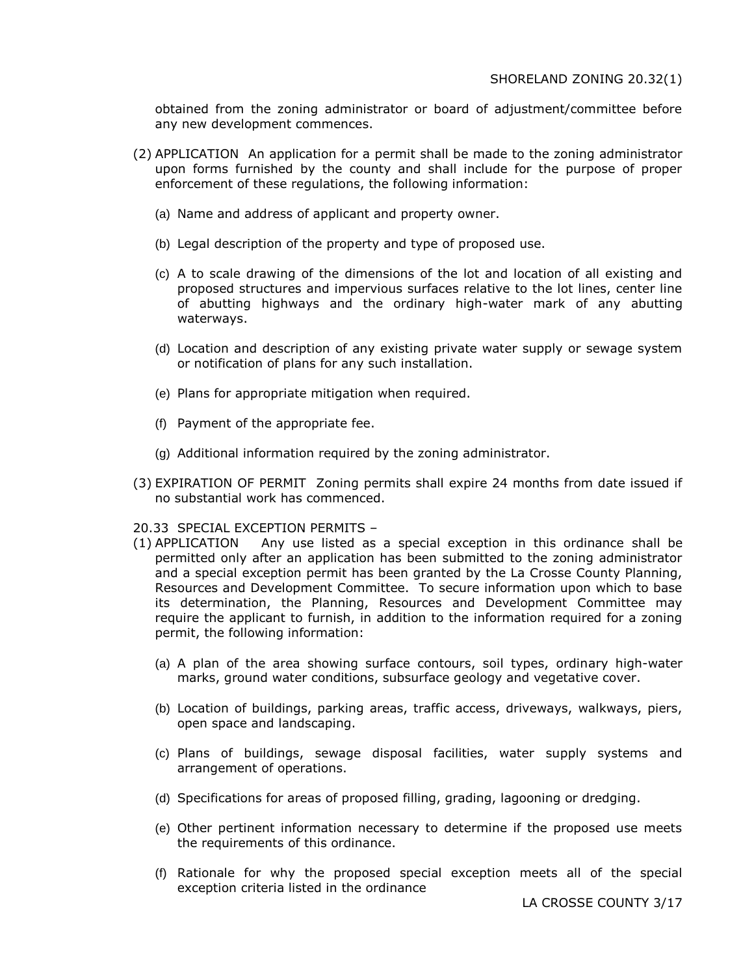obtained from the zoning administrator or board of adjustment/committee before any new development commences.

- (2) APPLICATION An application for a permit shall be made to the zoning administrator upon forms furnished by the county and shall include for the purpose of proper enforcement of these regulations, the following information:
	- (a) Name and address of applicant and property owner.
	- (b) Legal description of the property and type of proposed use.
	- (c) A to scale drawing of the dimensions of the lot and location of all existing and proposed structures and impervious surfaces relative to the lot lines, center line of abutting highways and the ordinary high-water mark of any abutting waterways.
	- (d) Location and description of any existing private water supply or sewage system or notification of plans for any such installation.
	- (e) Plans for appropriate mitigation when required.
	- (f) Payment of the appropriate fee.
	- (g) Additional information required by the zoning administrator.
- (3) EXPIRATION OF PERMIT Zoning permits shall expire 24 months from date issued if no substantial work has commenced.
- 20.33 SPECIAL EXCEPTION PERMITS –
- (1) APPLICATION Any use listed as a special exception in this ordinance shall be permitted only after an application has been submitted to the zoning administrator and a special exception permit has been granted by the La Crosse County Planning, Resources and Development Committee. To secure information upon which to base its determination, the Planning, Resources and Development Committee may require the applicant to furnish, in addition to the information required for a zoning permit, the following information:
	- (a) A plan of the area showing surface contours, soil types, ordinary high-water marks, ground water conditions, subsurface geology and vegetative cover.
	- (b) Location of buildings, parking areas, traffic access, driveways, walkways, piers, open space and landscaping.
	- (c) Plans of buildings, sewage disposal facilities, water supply systems and arrangement of operations.
	- (d) Specifications for areas of proposed filling, grading, lagooning or dredging.
	- (e) Other pertinent information necessary to determine if the proposed use meets the requirements of this ordinance.
	- (f) Rationale for why the proposed special exception meets all of the special exception criteria listed in the ordinance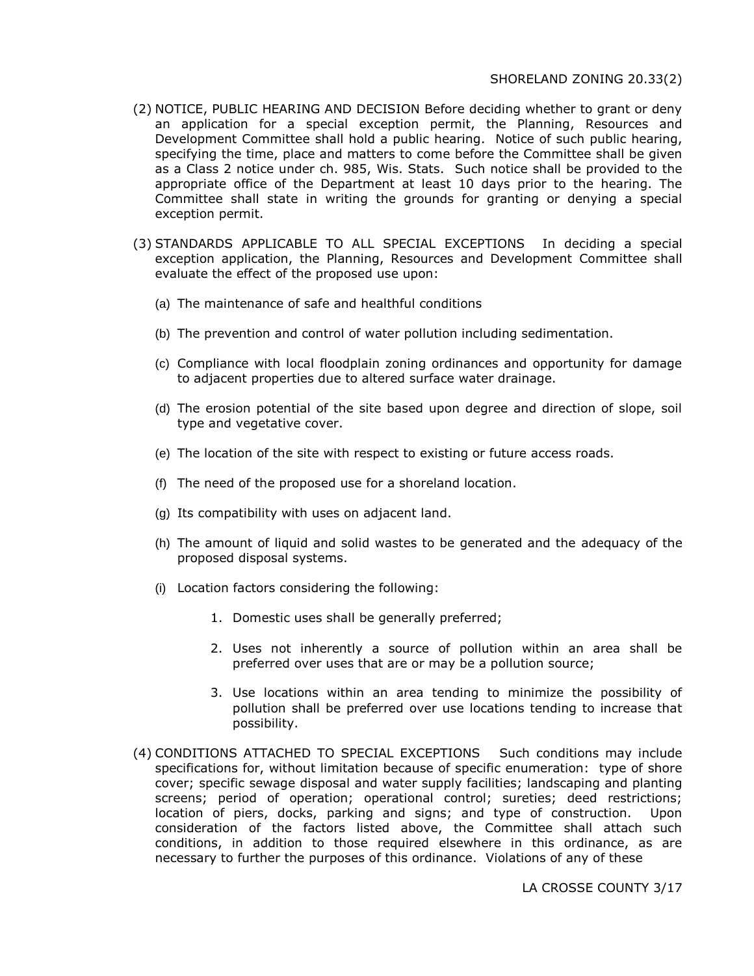- (2) NOTICE, PUBLIC HEARING AND DECISION Before deciding whether to grant or deny an application for a special exception permit, the Planning, Resources and Development Committee shall hold a public hearing. Notice of such public hearing, specifying the time, place and matters to come before the Committee shall be given as a Class 2 notice under ch. 985, Wis. Stats. Such notice shall be provided to the appropriate office of the Department at least 10 days prior to the hearing. The Committee shall state in writing the grounds for granting or denying a special exception permit.
- (3) STANDARDS APPLICABLE TO ALL SPECIAL EXCEPTIONS In deciding a special exception application, the Planning, Resources and Development Committee shall evaluate the effect of the proposed use upon:
	- (a) The maintenance of safe and healthful conditions
	- (b) The prevention and control of water pollution including sedimentation.
	- (c) Compliance with local floodplain zoning ordinances and opportunity for damage to adjacent properties due to altered surface water drainage.
	- (d) The erosion potential of the site based upon degree and direction of slope, soil type and vegetative cover.
	- (e) The location of the site with respect to existing or future access roads.
	- (f) The need of the proposed use for a shoreland location.
	- (g) Its compatibility with uses on adjacent land.
	- (h) The amount of liquid and solid wastes to be generated and the adequacy of the proposed disposal systems.
	- (i) Location factors considering the following:
		- 1. Domestic uses shall be generally preferred;
		- 2. Uses not inherently a source of pollution within an area shall be preferred over uses that are or may be a pollution source;
		- 3. Use locations within an area tending to minimize the possibility of pollution shall be preferred over use locations tending to increase that possibility.
- (4) CONDITIONS ATTACHED TO SPECIAL EXCEPTIONS Such conditions may include specifications for, without limitation because of specific enumeration: type of shore cover; specific sewage disposal and water supply facilities; landscaping and planting screens; period of operation; operational control; sureties; deed restrictions; location of piers, docks, parking and signs; and type of construction. Upon consideration of the factors listed above, the Committee shall attach such conditions, in addition to those required elsewhere in this ordinance, as are necessary to further the purposes of this ordinance. Violations of any of these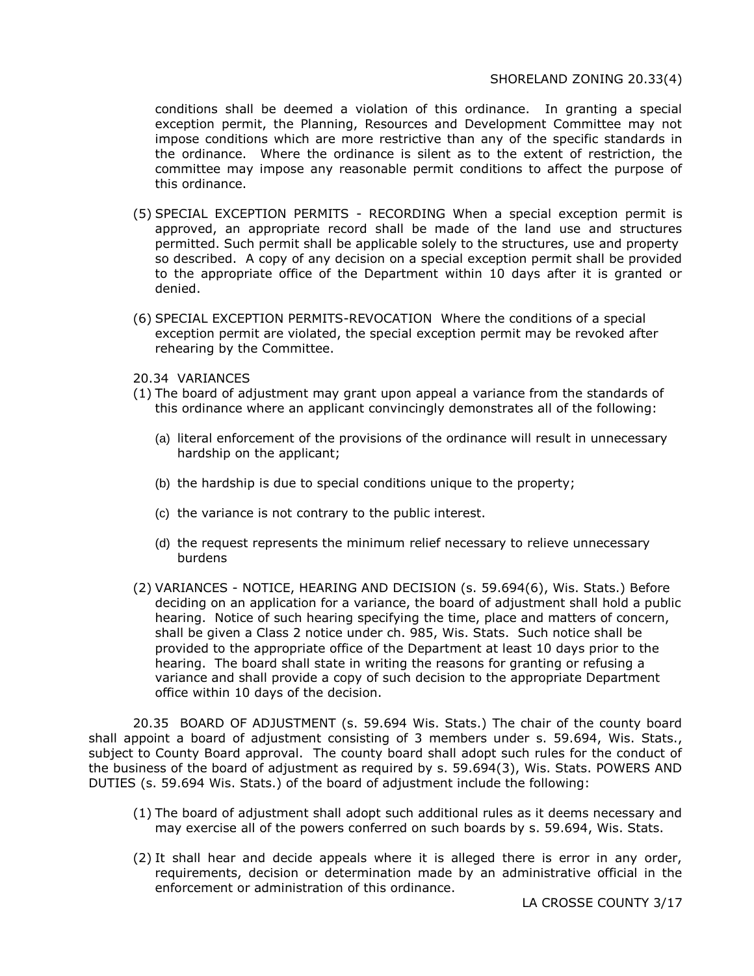#### SHORELAND ZONING 20.33(4)

conditions shall be deemed a violation of this ordinance. In granting a special exception permit, the Planning, Resources and Development Committee may not impose conditions which are more restrictive than any of the specific standards in the ordinance. Where the ordinance is silent as to the extent of restriction, the committee may impose any reasonable permit conditions to affect the purpose of this ordinance.

- (5) SPECIAL EXCEPTION PERMITS RECORDING When a special exception permit is approved, an appropriate record shall be made of the land use and structures permitted. Such permit shall be applicable solely to the structures, use and property so described. A copy of any decision on a special exception permit shall be provided to the appropriate office of the Department within 10 days after it is granted or denied.
- (6) SPECIAL EXCEPTION PERMITS-REVOCATION Where the conditions of a special exception permit are violated, the special exception permit may be revoked after rehearing by the Committee.
- 20.34 VARIANCES
- (1) The board of adjustment may grant upon appeal a variance from the standards of this ordinance where an applicant convincingly demonstrates all of the following:
	- (a) literal enforcement of the provisions of the ordinance will result in unnecessary hardship on the applicant;
	- (b) the hardship is due to special conditions unique to the property;
	- (c) the variance is not contrary to the public interest.
	- (d) the request represents the minimum relief necessary to relieve unnecessary burdens
- (2) VARIANCES NOTICE, HEARING AND DECISION (s. 59.694(6), Wis. Stats.) Before deciding on an application for a variance, the board of adjustment shall hold a public hearing. Notice of such hearing specifying the time, place and matters of concern, shall be given a Class 2 notice under ch. 985, Wis. Stats. Such notice shall be provided to the appropriate office of the Department at least 10 days prior to the hearing. The board shall state in writing the reasons for granting or refusing a variance and shall provide a copy of such decision to the appropriate Department office within 10 days of the decision.

20.35 BOARD OF ADJUSTMENT (s. 59.694 Wis. Stats.) The chair of the county board shall appoint a board of adjustment consisting of 3 members under s. 59.694, Wis. Stats., subject to County Board approval. The county board shall adopt such rules for the conduct of the business of the board of adjustment as required by s. 59.694(3), Wis. Stats. POWERS AND DUTIES (s. 59.694 Wis. Stats.) of the board of adjustment include the following:

- (1) The board of adjustment shall adopt such additional rules as it deems necessary and may exercise all of the powers conferred on such boards by s. 59.694, Wis. Stats.
- (2) It shall hear and decide appeals where it is alleged there is error in any order, requirements, decision or determination made by an administrative official in the enforcement or administration of this ordinance.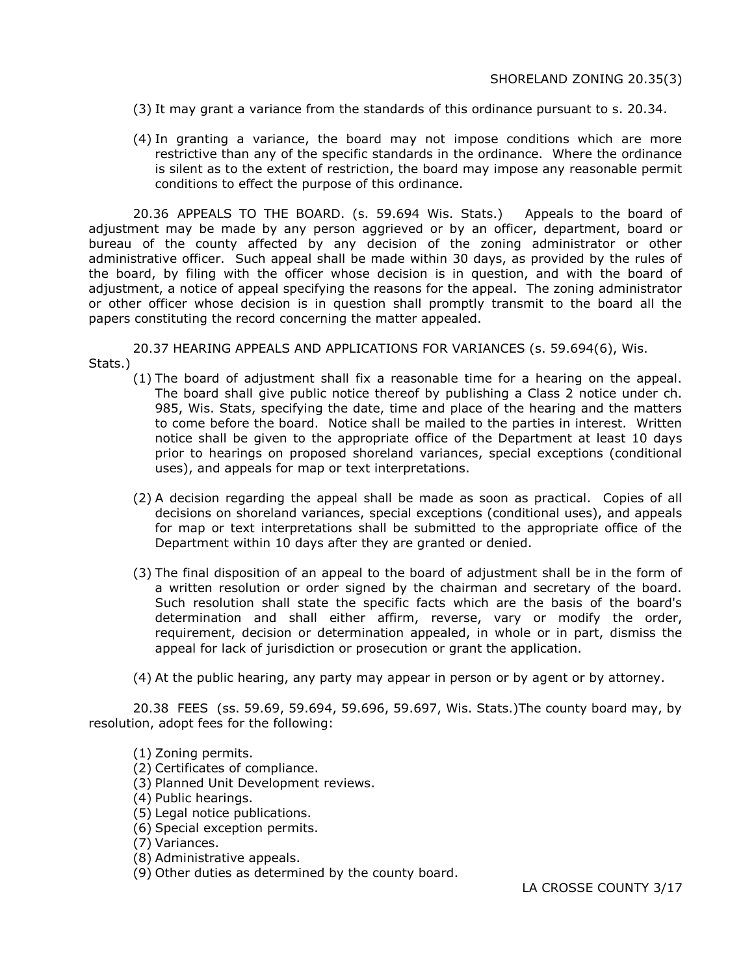- (3) It may grant a variance from the standards of this ordinance pursuant to s. 20.34.
- (4) In granting a variance, the board may not impose conditions which are more restrictive than any of the specific standards in the ordinance. Where the ordinance is silent as to the extent of restriction, the board may impose any reasonable permit conditions to effect the purpose of this ordinance.

20.36 APPEALS TO THE BOARD. (s. 59.694 Wis. Stats.) Appeals to the board of adjustment may be made by any person aggrieved or by an officer, department, board or bureau of the county affected by any decision of the zoning administrator or other administrative officer. Such appeal shall be made within 30 days, as provided by the rules of the board, by filing with the officer whose decision is in question, and with the board of adjustment, a notice of appeal specifying the reasons for the appeal. The zoning administrator or other officer whose decision is in question shall promptly transmit to the board all the papers constituting the record concerning the matter appealed.

20.37 HEARING APPEALS AND APPLICATIONS FOR VARIANCES (s. 59.694(6), Wis. Stats.)

- (1) The board of adjustment shall fix a reasonable time for a hearing on the appeal. The board shall give public notice thereof by publishing a Class 2 notice under ch. 985, Wis. Stats, specifying the date, time and place of the hearing and the matters to come before the board. Notice shall be mailed to the parties in interest. Written notice shall be given to the appropriate office of the Department at least 10 days prior to hearings on proposed shoreland variances, special exceptions (conditional uses), and appeals for map or text interpretations.
- (2) A decision regarding the appeal shall be made as soon as practical. Copies of all decisions on shoreland variances, special exceptions (conditional uses), and appeals for map or text interpretations shall be submitted to the appropriate office of the Department within 10 days after they are granted or denied.
- (3) The final disposition of an appeal to the board of adjustment shall be in the form of a written resolution or order signed by the chairman and secretary of the board. Such resolution shall state the specific facts which are the basis of the board's determination and shall either affirm, reverse, vary or modify the order, requirement, decision or determination appealed, in whole or in part, dismiss the appeal for lack of jurisdiction or prosecution or grant the application.

(4) At the public hearing, any party may appear in person or by agent or by attorney.

20.38 FEES (ss. 59.69, 59.694, 59.696, 59.697, Wis. Stats.)The county board may, by resolution, adopt fees for the following:

(1) Zoning permits.

- (2) Certificates of compliance.
- (3) Planned Unit Development reviews.

(4) Public hearings.

- (5) Legal notice publications.
- (6) Special exception permits.

(7) Variances.

(8) Administrative appeals.

(9) Other duties as determined by the county board.

LA CROSSE COUNTY 3/17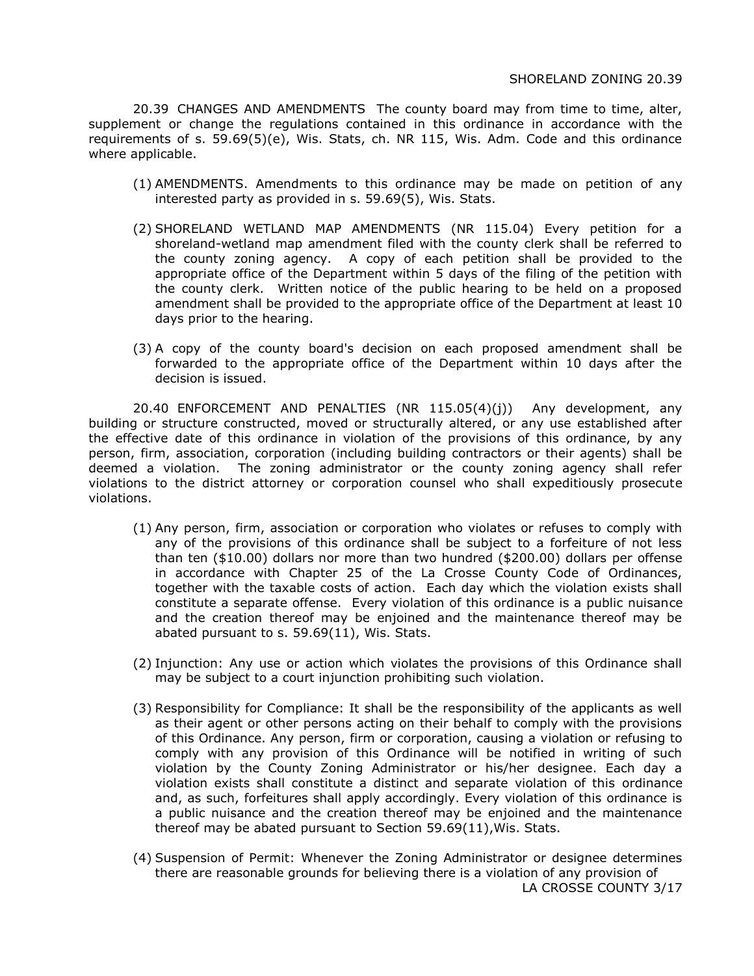20.39 CHANGES AND AMENDMENTS The county board may from time to time, alter, supplement or change the regulations contained in this ordinance in accordance with the requirements of s. 59.69(5)(e), Wis. Stats, ch. NR 115, Wis. Adm. Code and this ordinance where applicable.

- (1) AMENDMENTS. Amendments to this ordinance may be made on petition of any interested party as provided in s. 59.69(5), Wis. Stats.
- (2) SHORELAND WETLAND MAP AMENDMENTS (NR 115.04) Every petition for a shoreland-wetland map amendment filed with the county clerk shall be referred to the county zoning agency. A copy of each petition shall be provided to the appropriate office of the Department within 5 days of the filing of the petition with the county clerk. Written notice of the public hearing to be held on a proposed amendment shall be provided to the appropriate office of the Department at least 10 days prior to the hearing.
- (3) A copy of the county board's decision on each proposed amendment shall be forwarded to the appropriate office of the Department within 10 days after the decision is issued.

20.40 ENFORCEMENT AND PENALTIES (NR 115.05(4)(j)) Any development, any building or structure constructed, moved or structurally altered, or any use established after the effective date of this ordinance in violation of the provisions of this ordinance, by any person, firm, association, corporation (including building contractors or their agents) shall be deemed a violation. The zoning administrator or the county zoning agency shall refer violations to the district attorney or corporation counsel who shall expeditiously prosecute violations.

- (1) Any person, firm, association or corporation who violates or refuses to comply with any of the provisions of this ordinance shall be subject to a forfeiture of not less than ten (\$10.00) dollars nor more than two hundred (\$200.00) dollars per offense in accordance with Chapter 25 of the La Crosse County Code of Ordinances, together with the taxable costs of action. Each day which the violation exists shall constitute a separate offense. Every violation of this ordinance is a public nuisance and the creation thereof may be enjoined and the maintenance thereof may be abated pursuant to s. 59.69(11), Wis. Stats.
- (2) Injunction: Any use or action which violates the provisions of this Ordinance shall may be subject to a court injunction prohibiting such violation.
- (3) Responsibility for Compliance: It shall be the responsibility of the applicants as well as their agent or other persons acting on their behalf to comply with the provisions of this Ordinance. Any person, firm or corporation, causing a violation or refusing to comply with any provision of this Ordinance will be notified in writing of such violation by the County Zoning Administrator or his/her designee. Each day a violation exists shall constitute a distinct and separate violation of this ordinance and, as such, forfeitures shall apply accordingly. Every violation of this ordinance is a public nuisance and the creation thereof may be enjoined and the maintenance thereof may be abated pursuant to Section 59.69(11),Wis. Stats.
- (4) Suspension of Permit: Whenever the Zoning Administrator or designee determines there are reasonable grounds for believing there is a violation of any provision of LA CROSSE COUNTY 3/17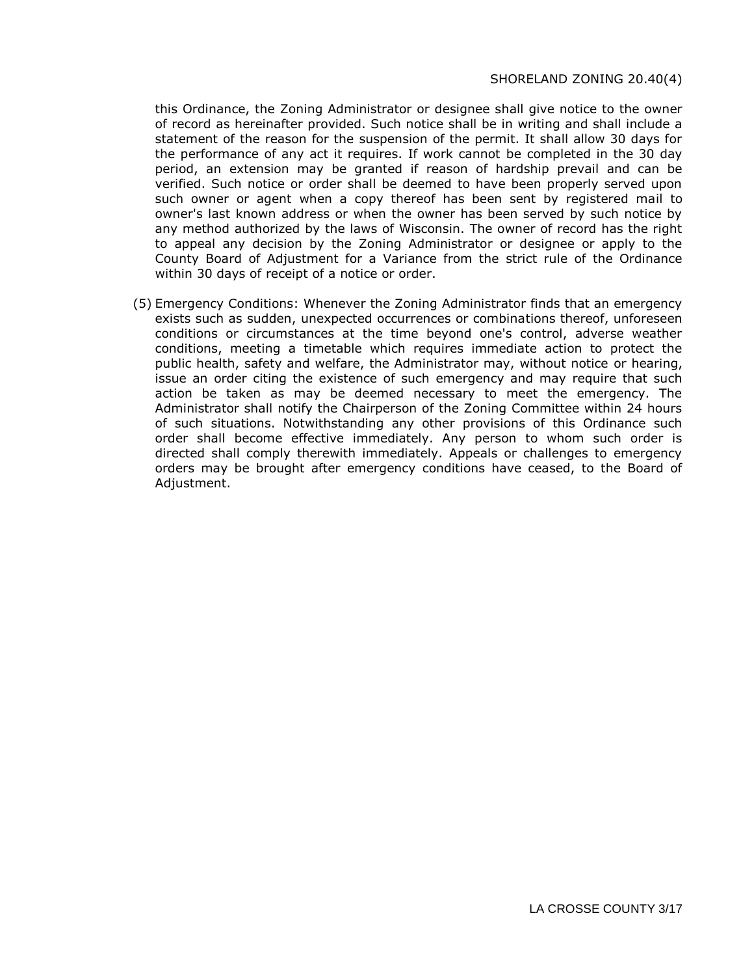#### SHORELAND ZONING 20.40(4)

this Ordinance, the Zoning Administrator or designee shall give notice to the owner of record as hereinafter provided. Such notice shall be in writing and shall include a statement of the reason for the suspension of the permit. It shall allow 30 days for the performance of any act it requires. If work cannot be completed in the 30 day period, an extension may be granted if reason of hardship prevail and can be verified. Such notice or order shall be deemed to have been properly served upon such owner or agent when a copy thereof has been sent by registered mail to owner's last known address or when the owner has been served by such notice by any method authorized by the laws of Wisconsin. The owner of record has the right to appeal any decision by the Zoning Administrator or designee or apply to the County Board of Adjustment for a Variance from the strict rule of the Ordinance within 30 days of receipt of a notice or order.

(5) Emergency Conditions: Whenever the Zoning Administrator finds that an emergency exists such as sudden, unexpected occurrences or combinations thereof, unforeseen conditions or circumstances at the time beyond one's control, adverse weather conditions, meeting a timetable which requires immediate action to protect the public health, safety and welfare, the Administrator may, without notice or hearing, issue an order citing the existence of such emergency and may require that such action be taken as may be deemed necessary to meet the emergency. The Administrator shall notify the Chairperson of the Zoning Committee within 24 hours of such situations. Notwithstanding any other provisions of this Ordinance such order shall become effective immediately. Any person to whom such order is directed shall comply therewith immediately. Appeals or challenges to emergency orders may be brought after emergency conditions have ceased, to the Board of Adjustment.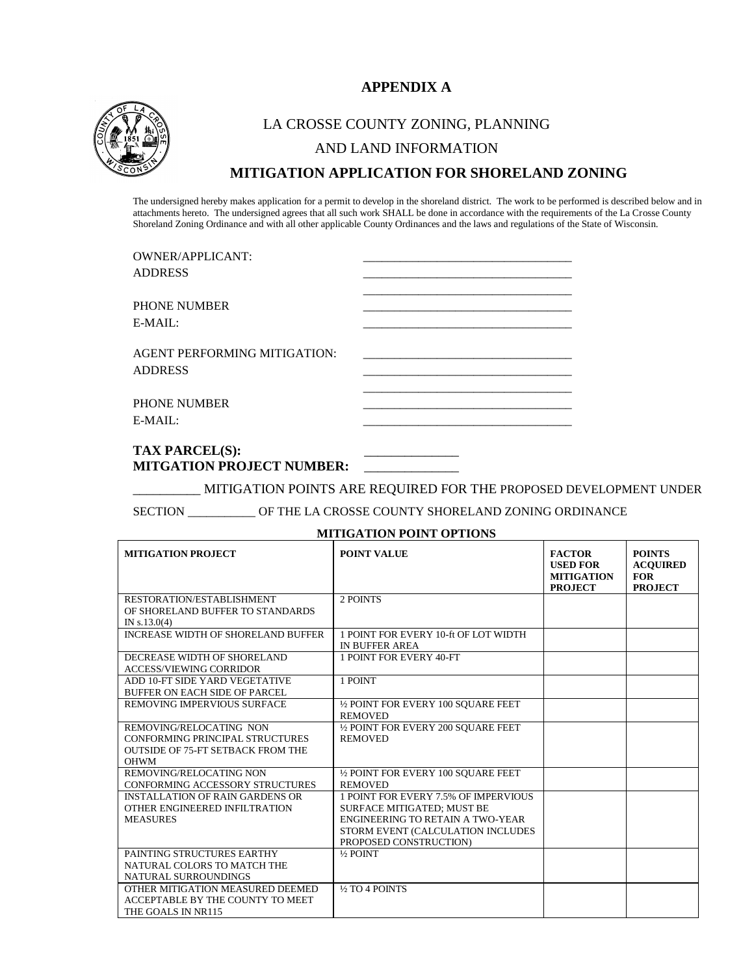# **APPENDIX A**



# LA CROSSE COUNTY ZONING, PLANNING AND LAND INFORMATION **MITIGATION APPLICATION FOR SHORELAND ZONING**

The undersigned hereby makes application for a permit to develop in the shoreland district. The work to be performed is described below and in attachments hereto. The undersigned agrees that all such work SHALL be done in accordance with the requirements of the La Crosse County Shoreland Zoning Ordinance and with all other applicable County Ordinances and the laws and regulations of the State of Wisconsin.

| <b>OWNER/APPLICANT:</b>                                                                    |  |
|--------------------------------------------------------------------------------------------|--|
| <b>ADDRESS</b>                                                                             |  |
|                                                                                            |  |
| <b>PHONE NUMBER</b>                                                                        |  |
| $E-MAIL:$                                                                                  |  |
| AGENT PERFORMING MITIGATION:<br><b>ADDRESS</b>                                             |  |
|                                                                                            |  |
| PHONE NUMBER                                                                               |  |
| $E-MAIL:$                                                                                  |  |
| $\mathbf{m}$ ( $\mathbf{v}$ $\mathbf{n}$ ) $\mathbf{n}$ $\alpha$ $\mathbf{m}$ ( $\alpha$ ) |  |
|                                                                                            |  |

#### **TAX PARCEL(S):** \_\_\_\_\_\_\_\_\_\_\_\_\_\_ **MITGATION PROJECT NUMBER:** \_\_\_\_\_\_\_\_\_\_\_\_\_\_

\_\_\_\_\_\_\_\_\_\_ MITIGATION POINTS ARE REQUIRED FOR THE PROPOSED DEVELOPMENT UNDER

SECTION \_\_\_\_\_\_\_\_\_\_\_ OF THE LA CROSSE COUNTY SHORELAND ZONING ORDINANCE

#### **MITIGATION POINT OPTIONS**

| <b>MITIGATION PROJECT</b>                 | <b>POINT VALUE</b>                      | <b>FACTOR</b><br><b>USED FOR</b><br><b>MITIGATION</b><br><b>PROJECT</b> | <b>POINTS</b><br><b>ACOUIRED</b><br><b>FOR</b><br><b>PROJECT</b> |
|-------------------------------------------|-----------------------------------------|-------------------------------------------------------------------------|------------------------------------------------------------------|
| RESTORATION/ESTABLISHMENT                 | 2 POINTS                                |                                                                         |                                                                  |
| OF SHORELAND BUFFER TO STANDARDS          |                                         |                                                                         |                                                                  |
| IN $s.13.0(4)$                            |                                         |                                                                         |                                                                  |
| <b>INCREASE WIDTH OF SHORELAND BUFFER</b> | 1 POINT FOR EVERY 10-ft OF LOT WIDTH    |                                                                         |                                                                  |
|                                           | <b>IN BUFFER AREA</b>                   |                                                                         |                                                                  |
| DECREASE WIDTH OF SHORELAND               | 1 POINT FOR EVERY 40-FT                 |                                                                         |                                                                  |
| <b>ACCESS/VIEWING CORRIDOR</b>            |                                         |                                                                         |                                                                  |
| ADD 10-FT SIDE YARD VEGETATIVE            | 1 POINT                                 |                                                                         |                                                                  |
| <b>BUFFER ON EACH SIDE OF PARCEL</b>      |                                         |                                                                         |                                                                  |
| REMOVING IMPERVIOUS SURFACE               | 1/2 POINT FOR EVERY 100 SOUARE FEET     |                                                                         |                                                                  |
|                                           | <b>REMOVED</b>                          |                                                                         |                                                                  |
| REMOVING/RELOCATING NON                   | 1/2 POINT FOR EVERY 200 SOUARE FEET     |                                                                         |                                                                  |
| CONFORMING PRINCIPAL STRUCTURES           | <b>REMOVED</b>                          |                                                                         |                                                                  |
| <b>OUTSIDE OF 75-FT SETBACK FROM THE</b>  |                                         |                                                                         |                                                                  |
| <b>OHWM</b>                               |                                         |                                                                         |                                                                  |
| REMOVING/RELOCATING NON                   | 1/2 POINT FOR EVERY 100 SOUARE FEET     |                                                                         |                                                                  |
| CONFORMING ACCESSORY STRUCTURES           | <b>REMOVED</b>                          |                                                                         |                                                                  |
| <b>INSTALLATION OF RAIN GARDENS OR</b>    | 1 POINT FOR EVERY 7.5% OF IMPERVIOUS    |                                                                         |                                                                  |
| OTHER ENGINEERED INFILTRATION             | <b>SURFACE MITIGATED: MUST BE</b>       |                                                                         |                                                                  |
| <b>MEASURES</b>                           | <b>ENGINEERING TO RETAIN A TWO-YEAR</b> |                                                                         |                                                                  |
|                                           | STORM EVENT (CALCULATION INCLUDES       |                                                                         |                                                                  |
|                                           | PROPOSED CONSTRUCTION)                  |                                                                         |                                                                  |
| PAINTING STRUCTURES EARTHY                | $\frac{1}{2}$ POINT                     |                                                                         |                                                                  |
| NATURAL COLORS TO MATCH THE               |                                         |                                                                         |                                                                  |
| NATURAL SURROUNDINGS                      |                                         |                                                                         |                                                                  |
| OTHER MITIGATION MEASURED DEEMED          | 1/2 TO 4 POINTS                         |                                                                         |                                                                  |
| ACCEPTABLE BY THE COUNTY TO MEET          |                                         |                                                                         |                                                                  |
| THE GOALS IN NR115                        |                                         |                                                                         |                                                                  |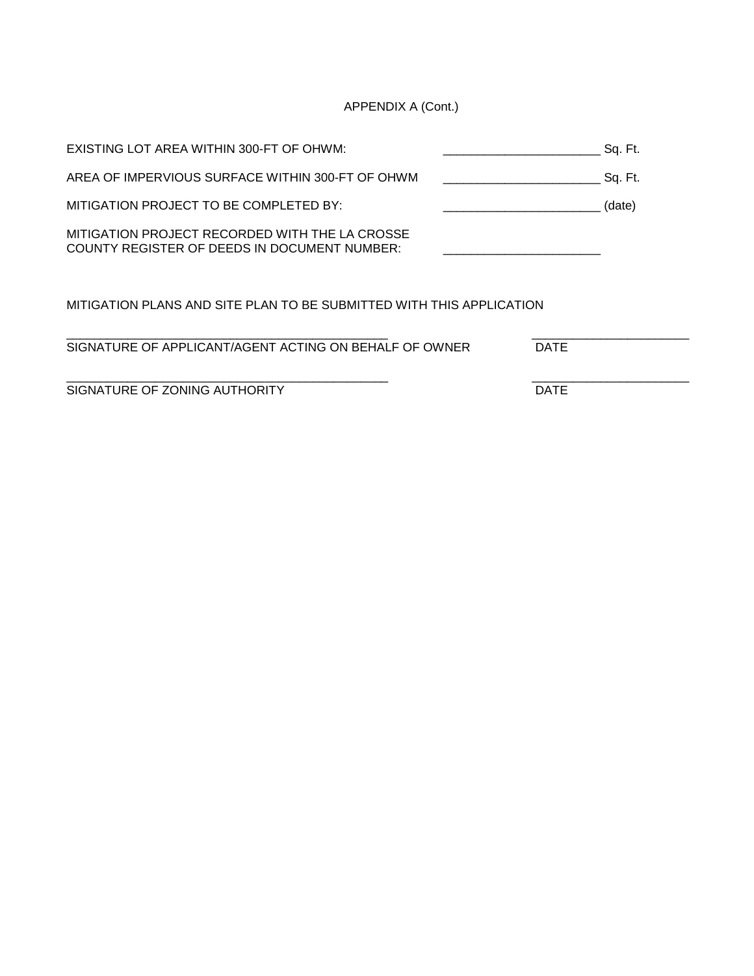APPENDIX A (Cont.)

| EXISTING LOT AREA WITHIN 300-FT OF OHWM:                                                              | Sq. Ft. |
|-------------------------------------------------------------------------------------------------------|---------|
| AREA OF IMPERVIOUS SURFACE WITHIN 300-FT OF OHWM                                                      | Sq. Ft. |
| MITIGATION PROJECT TO BE COMPLETED BY:                                                                | (date)  |
| MITIGATION PROJECT RECORDED WITH THE LA CROSSE<br><b>COUNTY REGISTER OF DEEDS IN DOCUMENT NUMBER:</b> |         |
| MITIGATION PLANS AND SITE PLAN TO BE SUBMITTED WITH THIS APPLICATION                                  |         |

| SIGNATURE OF APPLICANT/AGENT ACTING ON BEHALF OF OWNER | <b>DATE</b> |
|--------------------------------------------------------|-------------|
|                                                        |             |
|                                                        |             |
|                                                        |             |

SIGNATURE OF ZONING AUTHORITY DATE